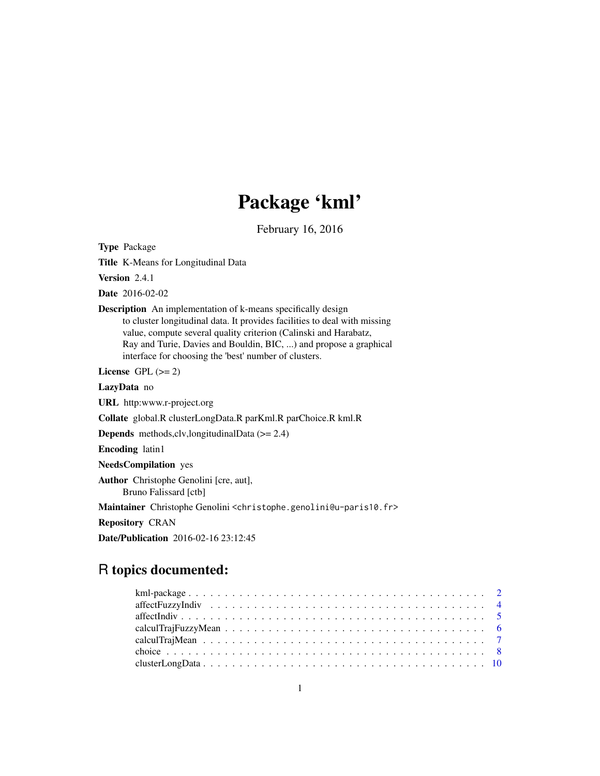# Package 'kml'

February 16, 2016

<span id="page-0-0"></span>Type Package

Title K-Means for Longitudinal Data

Version 2.4.1

Date 2016-02-02

Description An implementation of k-means specifically design to cluster longitudinal data. It provides facilities to deal with missing value, compute several quality criterion (Calinski and Harabatz, Ray and Turie, Davies and Bouldin, BIC, ...) and propose a graphical interface for choosing the 'best' number of clusters.

License GPL  $(>= 2)$ 

LazyData no

URL http:www.r-project.org

Collate global.R clusterLongData.R parKml.R parChoice.R kml.R

Depends methods,clv,longitudinalData (>= 2.4)

Encoding latin1

NeedsCompilation yes

Author Christophe Genolini [cre, aut], Bruno Falissard [ctb]

Maintainer Christophe Genolini <christophe.genolini@u-paris10.fr>

Repository CRAN

Date/Publication 2016-02-16 23:12:45

# R topics documented: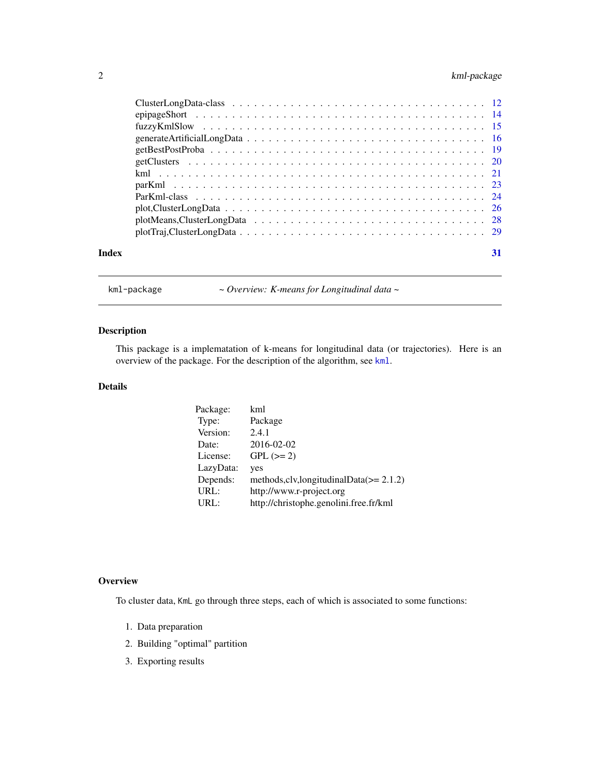# <span id="page-1-0"></span>2 kml-package

| Index | 31 |
|-------|----|
|       |    |

<span id="page-1-1"></span>kml-package *~ Overview: K-means for Longitudinal data ~*

# Description

This package is a implematation of k-means for longitudinal data (or trajectories). Here is an overview of the package. For the description of the algorithm, see [kml](#page-20-1).

# Details

| Package:  | kml                                          |
|-----------|----------------------------------------------|
| Type:     | Package                                      |
| Version:  | 2.4.1                                        |
| Date:     | 2016-02-02                                   |
| License:  | $GPL (=2)$                                   |
| LazyData: | yes                                          |
| Depends:  | methods, clv, longitudinal Data $(>= 2.1.2)$ |
| URL:      | http://www.r-project.org                     |
| URL:      | http://christophe.genolini.free.fr/kml       |

# **Overview**

To cluster data, KmL go through three steps, each of which is associated to some functions:

- 1. Data preparation
- 2. Building "optimal" partition
- 3. Exporting results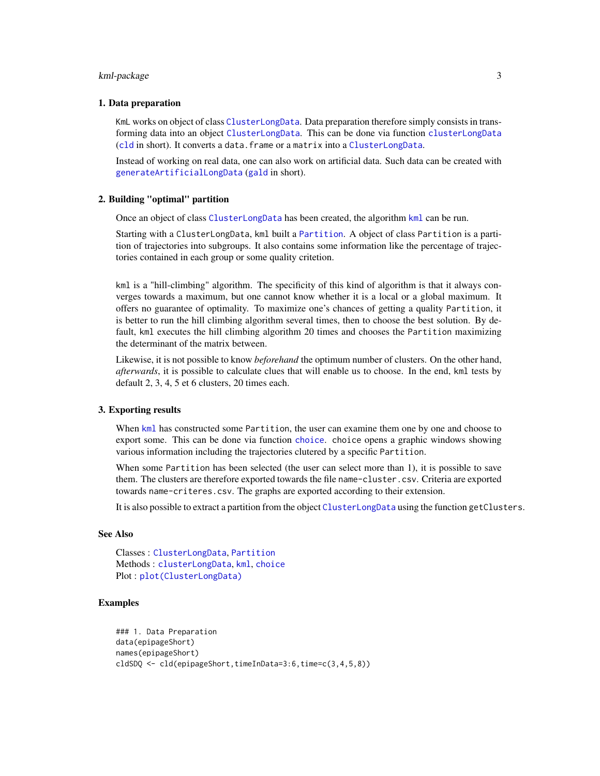#### <span id="page-2-0"></span>kml-package 3

#### 1. Data preparation

KmL works on object of class [ClusterLongData](#page-11-1). Data preparation therefore simply consists in transforming data into an object [ClusterLongData](#page-11-1). This can be done via function [clusterLongData](#page-9-1) ([cld](#page-9-1) in short). It converts a data.frame or a matrix into a [ClusterLongData](#page-11-1).

Instead of working on real data, one can also work on artificial data. Such data can be created with [generateArtificialLongData](#page-15-1) ([gald](#page-15-2) in short).

# 2. Building "optimal" partition

Once an object of class [ClusterLongData](#page-11-1) has been created, the algorithm [kml](#page-20-1) can be run.

Starting with a ClusterLongData, kml built a [Partition](#page-0-0). A object of class Partition is a partition of trajectories into subgroups. It also contains some information like the percentage of trajectories contained in each group or some quality critetion.

kml is a "hill-climbing" algorithm. The specificity of this kind of algorithm is that it always converges towards a maximum, but one cannot know whether it is a local or a global maximum. It offers no guarantee of optimality. To maximize one's chances of getting a quality Partition, it is better to run the hill climbing algorithm several times, then to choose the best solution. By default, kml executes the hill climbing algorithm 20 times and chooses the Partition maximizing the determinant of the matrix between.

Likewise, it is not possible to know *beforehand* the optimum number of clusters. On the other hand, *afterwards*, it is possible to calculate clues that will enable us to choose. In the end, kml tests by default 2, 3, 4, 5 et 6 clusters, 20 times each.

#### 3. Exporting results

When [kml](#page-20-1) has constructed some Partition, the user can examine them one by one and choose to export some. This can be done via function [choice](#page-7-1). choice opens a graphic windows showing various information including the trajectories clutered by a specific Partition.

When some Partition has been selected (the user can select more than 1), it is possible to save them. The clusters are therefore exported towards the file name-cluster.csv. Criteria are exported towards name-criteres.csv. The graphs are exported according to their extension.

It is also possible to extract a partition from the object [ClusterLongData](#page-11-1) using the function getClusters.

### See Also

Classes : [ClusterLongData](#page-11-1), [Partition](#page-0-0) Methods : [clusterLongData](#page-9-1), [kml](#page-20-1), [choice](#page-7-1) Plot : [plot\(ClusterLongData\)](#page-0-0)

#### Examples

```
### 1. Data Preparation
data(epipageShort)
names(epipageShort)
cldSDQ <- cld(epipageShort,timeInData=3:6,time=c(3,4,5,8))
```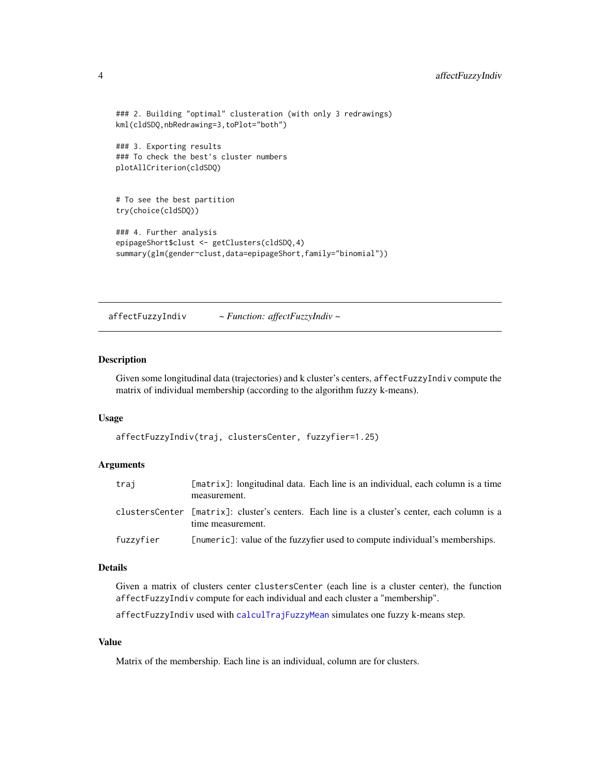```
### 2. Building "optimal" clusteration (with only 3 redrawings)
kml(cldSDQ,nbRedrawing=3,toPlot="both")
### 3. Exporting results
### To check the best's cluster numbers
plotAllCriterion(cldSDQ)
# To see the best partition
try(choice(cldSDQ))
### 4. Further analysis
epipageShort$clust <- getClusters(cldSDQ,4)
summary(glm(gender~clust,data=epipageShort,family="binomial"))
```
<span id="page-3-1"></span>affectFuzzyIndiv *~ Function: affectFuzzyIndiv ~*

#### Description

Given some longitudinal data (trajectories) and k cluster's centers, affectFuzzyIndiv compute the matrix of individual membership (according to the algorithm fuzzy k-means).

#### Usage

affectFuzzyIndiv(traj, clustersCenter, fuzzyfier=1.25)

#### Arguments

| traj      | [matrix]: longitudinal data. Each line is an individual, each column is a time<br>measurement.                     |  |
|-----------|--------------------------------------------------------------------------------------------------------------------|--|
|           | clustersCenter [matrix]: cluster's centers. Each line is a cluster's center, each column is a<br>time measurement. |  |
| fuzzyfier | [numeric]: value of the fuzzyfier used to compute individual's memberships.                                        |  |

# Details

Given a matrix of clusters center clustersCenter (each line is a cluster center), the function affectFuzzyIndiv compute for each individual and each cluster a "membership".

affectFuzzyIndiv used with [calculTrajFuzzyMean](#page-5-1) simulates one fuzzy k-means step.

# Value

Matrix of the membership. Each line is an individual, column are for clusters.

<span id="page-3-0"></span>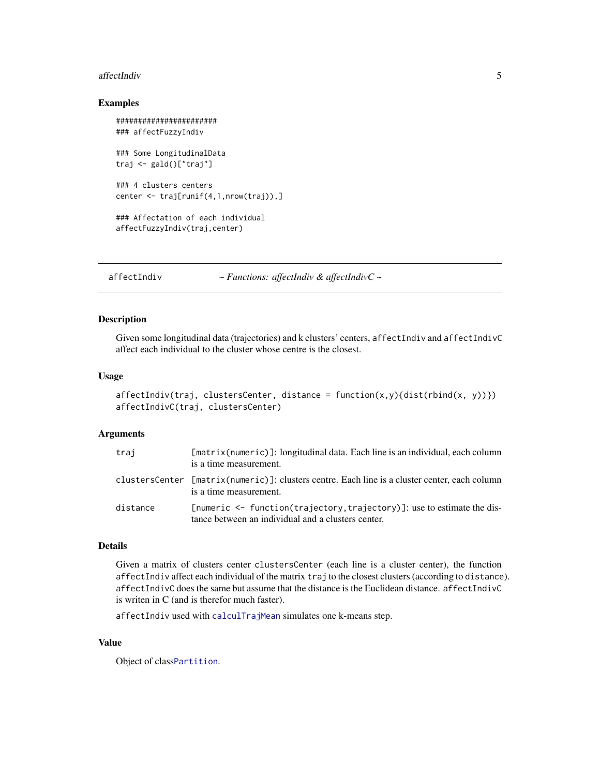#### <span id="page-4-0"></span>affectIndiv 5

#### Examples

```
#######################
### affectFuzzyIndiv
### Some LongitudinalData
traj <- gald()["traj"]
### 4 clusters centers
center <- traj[runif(4,1,nrow(traj)),]
### Affectation of each individual
affectFuzzyIndiv(traj,center)
```
affectIndiv *~ Functions: affectIndiv & affectIndivC ~*

# Description

Given some longitudinal data (trajectories) and k clusters' centers, affectIndiv and affectIndivC affect each individual to the cluster whose centre is the closest.

#### Usage

```
affectIndiv(train, clustersCenter, distance = function(x,y){dist(rbind(x, y))})affectIndivC(traj, clustersCenter)
```
#### **Arguments**

| trai     | [matrix(numeric)]: longitudinal data. Each line is an individual, each column<br>is a time measurement.                           |
|----------|-----------------------------------------------------------------------------------------------------------------------------------|
|          | clustersCenter [matrix(numeric)]: clusters centre. Each line is a cluster center, each column<br>is a time measurement.           |
| distance | [numeric $\leq$ function(trajectory, trajectory)]: use to estimate the dis-<br>tance between an individual and a clusters center. |

### Details

Given a matrix of clusters center clustersCenter (each line is a cluster center), the function affectIndiv affect each individual of the matrix traj to the closest clusters (according to distance). affectIndivC does the same but assume that the distance is the Euclidean distance. affectIndivC is writen in C (and is therefor much faster).

affectIndiv used with [calculTrajMean](#page-6-1) simulates one k-means step.

# Value

Object of class[Partition](#page-0-0).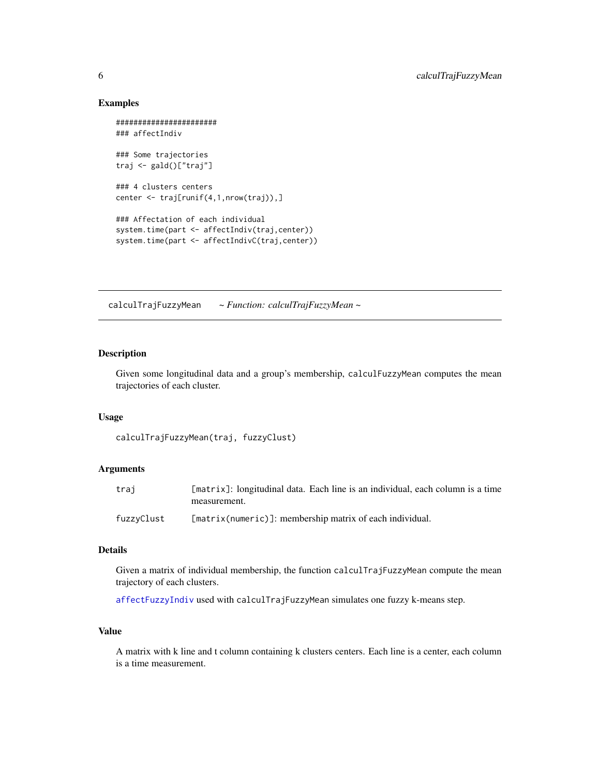#### Examples

```
#######################
### affectIndiv
### Some trajectories
traj <- gald()["traj"]
### 4 clusters centers
center <- traj[runif(4,1,nrow(traj)),]
### Affectation of each individual
system.time(part <- affectIndiv(traj,center))
system.time(part <- affectIndivC(traj,center))
```
<span id="page-5-1"></span>calculTrajFuzzyMean *~ Function: calculTrajFuzzyMean ~*

#### Description

Given some longitudinal data and a group's membership, calculFuzzyMean computes the mean trajectories of each cluster.

# Usage

```
calculTrajFuzzyMean(traj, fuzzyClust)
```
# Arguments

| trai       | [matrix]: longitudinal data. Each line is an individual, each column is a time<br>measurement. |
|------------|------------------------------------------------------------------------------------------------|
| fuzzyClust | $[matrix(numeric)]$ : membership matrix of each individual.                                    |

#### Details

Given a matrix of individual membership, the function calculTrajFuzzyMean compute the mean trajectory of each clusters.

[affectFuzzyIndiv](#page-3-1) used with calculTrajFuzzyMean simulates one fuzzy k-means step.

### Value

A matrix with k line and t column containing k clusters centers. Each line is a center, each column is a time measurement.

<span id="page-5-0"></span>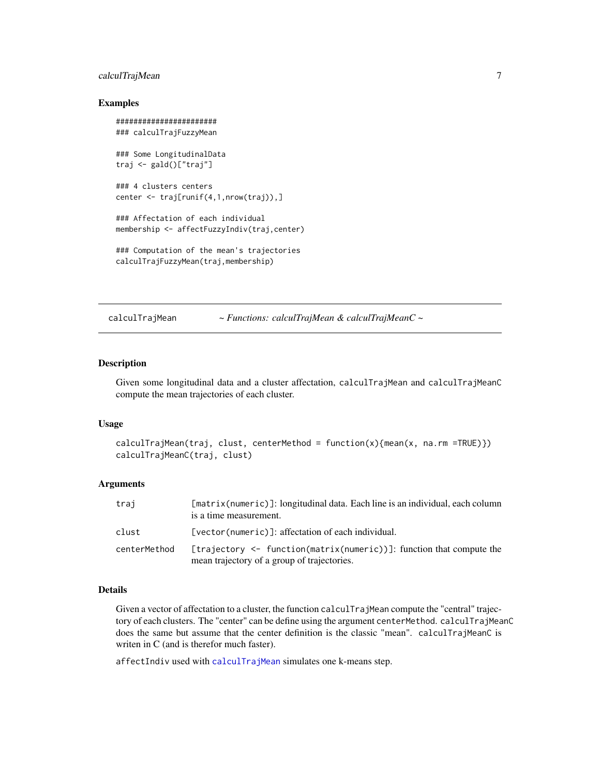# <span id="page-6-0"></span>calculTrajMean 7

#### Examples

```
#######################
### calculTrajFuzzyMean
### Some LongitudinalData
traj <- gald()["traj"]
### 4 clusters centers
center <- traj[runif(4,1,nrow(traj)),]
### Affectation of each individual
membership <- affectFuzzyIndiv(traj,center)
### Computation of the mean's trajectories
calculTrajFuzzyMean(traj,membership)
```
<span id="page-6-1"></span>calculTrajMean *~ Functions: calculTrajMean & calculTrajMeanC ~*

#### Description

Given some longitudinal data and a cluster affectation, calculTrajMean and calculTrajMeanC compute the mean trajectories of each cluster.

#### Usage

```
calculTrajMean(traj, clust, centerMethod = function(x){mean(x, na.rm =TRUE)})
calculTrajMeanC(traj, clust)
```
# Arguments

| trai         | [matrix(numeric)]: longitudinal data. Each line is an individual, each column<br>is a time measurement.             |
|--------------|---------------------------------------------------------------------------------------------------------------------|
| clust        | [vector(numeric)]: affectation of each individual.                                                                  |
| centerMethod | [trajectory <- function(matrix(numeric))]: function that compute the<br>mean trajectory of a group of trajectories. |

#### Details

Given a vector of affectation to a cluster, the function calculTrajMean compute the "central" trajectory of each clusters. The "center" can be define using the argument centerMethod. calculTrajMeanC does the same but assume that the center definition is the classic "mean". calculTrajMeanC is writen in C (and is therefor much faster).

affectIndiv used with [calculTrajMean](#page-6-1) simulates one k-means step.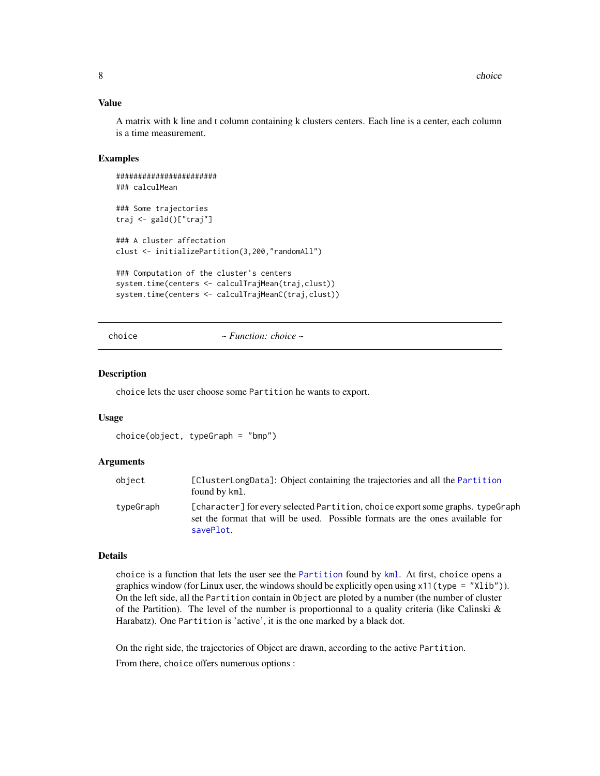### <span id="page-7-0"></span>Value

A matrix with k line and t column containing k clusters centers. Each line is a center, each column is a time measurement.

#### Examples

```
#######################
### calculMean
### Some trajectories
traj <- gald()["traj"]
### A cluster affectation
clust <- initializePartition(3,200,"randomAll")
### Computation of the cluster's centers
system.time(centers <- calculTrajMean(traj,clust))
system.time(centers <- calculTrajMeanC(traj,clust))
```

```
choice ~ Function: choice ~
```
#### Description

choice lets the user choose some Partition he wants to export.

#### Usage

choice(object, typeGraph = "bmp")

#### Arguments

| object    | [ClusterLongData]: Object containing the trajectories and all the Partition<br>found by kml.                                                                                 |
|-----------|------------------------------------------------------------------------------------------------------------------------------------------------------------------------------|
| typeGraph | [character] for every selected Partition, choice export some graphs, typeGraph<br>set the format that will be used. Possible formats are the ones available for<br>savePlot. |

#### Details

choice is a function that lets the user see the [Partition](#page-0-0) found by [kml](#page-20-1). At first, choice opens a graphics window (for Linux user, the windows should be explicitly open using  $x11(type = "Xlib").$ ). On the left side, all the Partition contain in Object are ploted by a number (the number of cluster of the Partition). The level of the number is proportionnal to a quality criteria (like Calinski  $\&$ Harabatz). One Partition is 'active', it is the one marked by a black dot.

On the right side, the trajectories of Object are drawn, according to the active Partition. From there, choice offers numerous options :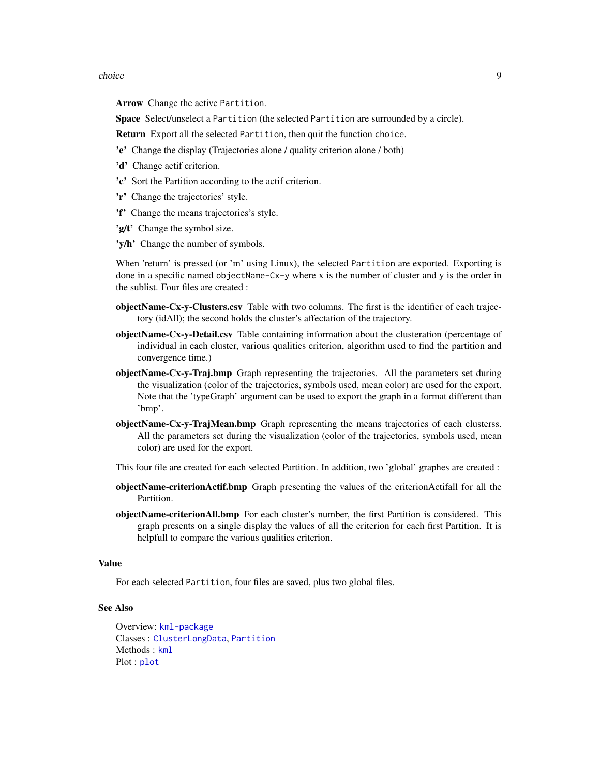#### <span id="page-8-0"></span>choice 9 and 2012 12:30 and 2012 12:30 and 2012 12:30 and 2012 12:30 and 2012 12:30 and 2012 12:30 and 2013 12:30 and 2013 12:30 and 2013 12:30 and 2013 12:30 and 2013 12:30 and 2013 12:30 and 2013 12:30 and 2013 12:30 and

Arrow Change the active Partition.

Space Select/unselect a Partition (the selected Partition are surrounded by a circle).

Return Export all the selected Partition, then quit the function choice.

- 'e' Change the display (Trajectories alone / quality criterion alone / both)
- 'd' Change actif criterion.
- 'c' Sort the Partition according to the actif criterion.
- 'r' Change the trajectories' style.
- 'f' Change the means trajectories's style.
- 'g/t' Change the symbol size.
- 'y/h' Change the number of symbols.

When 'return' is pressed (or 'm' using Linux), the selected Partition are exported. Exporting is done in a specific named objectName-Cx-y where x is the number of cluster and y is the order in the sublist. Four files are created :

- objectName-Cx-y-Clusters.csv Table with two columns. The first is the identifier of each trajectory (idAll); the second holds the cluster's affectation of the trajectory.
- objectName-Cx-y-Detail.csv Table containing information about the clusteration (percentage of individual in each cluster, various qualities criterion, algorithm used to find the partition and convergence time.)
- objectName-Cx-y-Traj.bmp Graph representing the trajectories. All the parameters set during the visualization (color of the trajectories, symbols used, mean color) are used for the export. Note that the 'typeGraph' argument can be used to export the graph in a format different than 'bmp'.
- objectName-Cx-y-TrajMean.bmp Graph representing the means trajectories of each clusterss. All the parameters set during the visualization (color of the trajectories, symbols used, mean color) are used for the export.
- This four file are created for each selected Partition. In addition, two 'global' graphes are created :
- objectName-criterionActif.bmp Graph presenting the values of the criterionActifall for all the Partition.
- objectName-criterionAll.bmp For each cluster's number, the first Partition is considered. This graph presents on a single display the values of all the criterion for each first Partition. It is helpfull to compare the various qualities criterion.

#### Value

For each selected Partition, four files are saved, plus two global files.

### See Also

Overview: [kml-package](#page-1-1) Classes : [ClusterLongData](#page-11-1), [Partition](#page-0-0) Methods : [kml](#page-20-1) Plot : [plot](#page-25-1)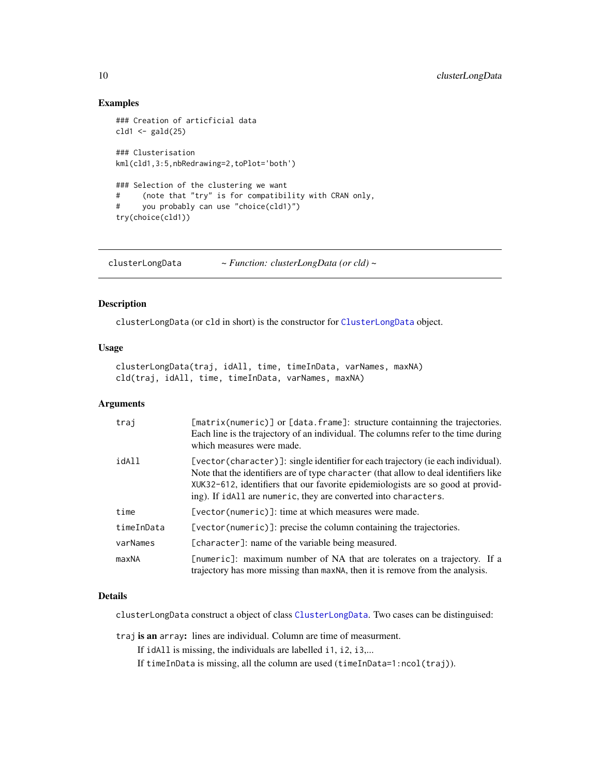# Examples

```
### Creation of articficial data
cld1 < - gald(25)### Clusterisation
kml(cld1,3:5,nbRedrawing=2,toPlot='both')
### Selection of the clustering we want
# (note that "try" is for compatibility with CRAN only,
# you probably can use "choice(cld1)")
try(choice(cld1))
```
<span id="page-9-1"></span>clusterLongData *~ Function: clusterLongData (or cld) ~*

#### Description

clusterLongData (or cld in short) is the constructor for [ClusterLongData](#page-11-1) object.

#### Usage

clusterLongData(traj, idAll, time, timeInData, varNames, maxNA) cld(traj, idAll, time, timeInData, varNames, maxNA)

# Arguments

| trai       | [matrix(numeric)] or [data.frame]: structure containning the trajectories.<br>Each line is the trajectory of an individual. The columns refer to the time during<br>which measures were made.                                                                                                                                  |
|------------|--------------------------------------------------------------------------------------------------------------------------------------------------------------------------------------------------------------------------------------------------------------------------------------------------------------------------------|
| idAll      | [vector(character)]: single identifier for each trajectory (ie each individual).<br>Note that the identifiers are of type character (that allow to deal identifiers like<br>XUK32-612, identifiers that our favorite epidemiologists are so good at provid-<br>ing). If idAll are numeric, they are converted into characters. |
| time       | [vector(numeric)]: time at which measures were made.                                                                                                                                                                                                                                                                           |
| timeInData | [vector(numeric)]: precise the column containing the trajectories.                                                                                                                                                                                                                                                             |
| varNames   | [character]: name of the variable being measured.                                                                                                                                                                                                                                                                              |
| maxNA      | [numeric]: maximum number of NA that are tolerates on a trajectory. If a<br>trajectory has more missing than maxNA, then it is remove from the analysis.                                                                                                                                                                       |

#### Details

clusterLongData construct a object of class [ClusterLongData](#page-11-1). Two cases can be distinguised:

traj is an array: lines are individual. Column are time of measurment.

If idAll is missing, the individuals are labelled i1, i2, i3,...

If timeInData is missing, all the column are used (timeInData=1:ncol(traj)).

<span id="page-9-0"></span>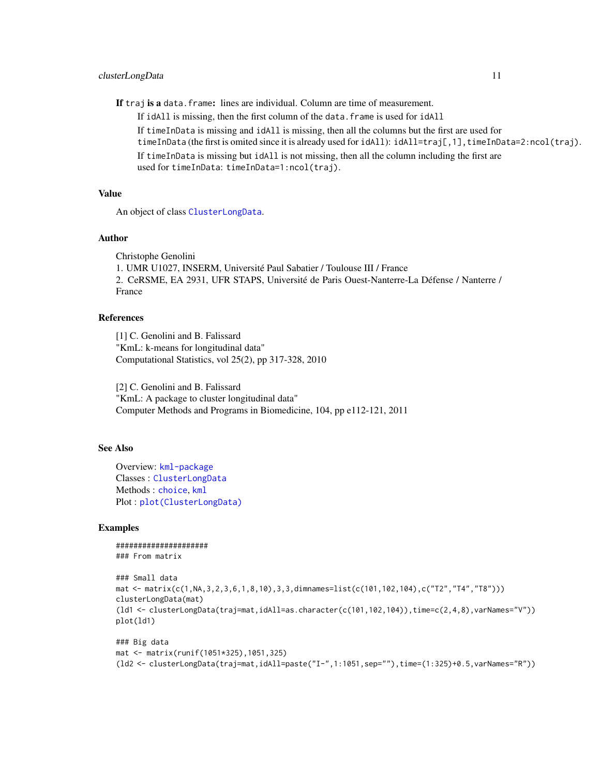<span id="page-10-0"></span>If traj is a data. frame: lines are individual. Column are time of measurement.

If idAll is missing, then the first column of the data. frame is used for idAll

If timeInData is missing and idAll is missing, then all the columns but the first are used for

timeInData (the first is omited since it is already used for idAll): idAll=traj[,1],timeInData=2:ncol(traj). If timeInData is missing but idAll is not missing, then all the column including the first are

used for timeInData: timeInData=1:ncol(traj).

#### Value

An object of class [ClusterLongData](#page-11-1).

#### Author

Christophe Genolini 1. UMR U1027, INSERM, Université Paul Sabatier / Toulouse III / France 2. CeRSME, EA 2931, UFR STAPS, Université de Paris Ouest-Nanterre-La Défense / Nanterre / France

# References

[1] C. Genolini and B. Falissard "KmL: k-means for longitudinal data" Computational Statistics, vol 25(2), pp 317-328, 2010

[2] C. Genolini and B. Falissard "KmL: A package to cluster longitudinal data" Computer Methods and Programs in Biomedicine, 104, pp e112-121, 2011

### See Also

Overview: [kml-package](#page-1-1) Classes : [ClusterLongData](#page-11-1) Methods : [choice](#page-7-1), [kml](#page-20-1) Plot : [plot\(ClusterLongData\)](#page-0-0)

#### Examples

##################### ### From matrix

```
### Small data
mat <- matrix(c(1,NA,3,2,3,6,1,8,10),3,3,dimnames=list(c(101,102,104),c("T2","T4","T8")))
clusterLongData(mat)
(ld1 <- clusterLongData(traj=mat,idAll=as.character(c(101,102,104)),time=c(2,4,8),varNames="V"))
plot(ld1)
```

```
### Big data
mat <- matrix(runif(1051*325),1051,325)
(ld2 <- clusterLongData(traj=mat,idAll=paste("I-",1:1051,sep=""),time=(1:325)+0.5,varNames="R"))
```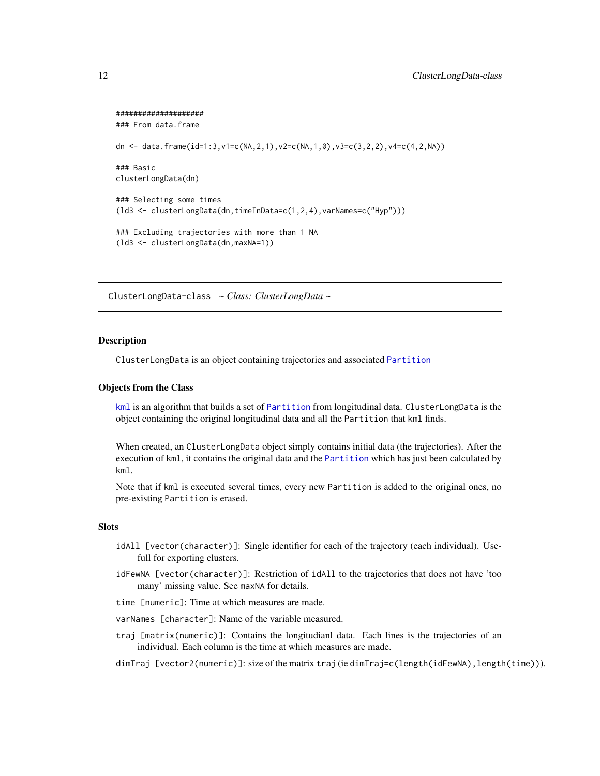```
####################
### From data.frame
dn <- data.frame(id=1:3,v1=c(NA,2,1),v2=c(NA,1,0),v3=c(3,2,2),v4=c(4,2,NA))
### Basic
clusterLongData(dn)
### Selecting some times
(ld3 <- clusterLongData(dn,timeInData=c(1,2,4),varNames=c("Hyp")))
### Excluding trajectories with more than 1 NA
(ld3 <- clusterLongData(dn,maxNA=1))
```
<span id="page-11-1"></span>ClusterLongData-class *~ Class: ClusterLongData ~*

#### Description

ClusterLongData is an object containing trajectories and associated [Partition](#page-0-0)

#### Objects from the Class

[kml](#page-20-1) is an algorithm that builds a set of [Partition](#page-0-0) from longitudinal data. ClusterLongData is the object containing the original longitudinal data and all the Partition that kml finds.

When created, an ClusterLongData object simply contains initial data (the trajectories). After the execution of kml, it contains the original data and the [Partition](#page-0-0) which has just been calculated by kml.

Note that if kml is executed several times, every new Partition is added to the original ones, no pre-existing Partition is erased.

#### **Slots**

- idAll [vector(character)]: Single identifier for each of the trajectory (each individual). Usefull for exporting clusters.
- idFewNA [vector(character)]: Restriction of idAll to the trajectories that does not have 'too many' missing value. See maxNA for details.
- time [numeric]: Time at which measures are made.
- varNames [character]: Name of the variable measured.
- traj [matrix(numeric)]: Contains the longitudianl data. Each lines is the trajectories of an individual. Each column is the time at which measures are made.
- dimTraj [vector2(numeric)]: size of the matrix traj (ie dimTraj=c(length(idFewNA),length(time))).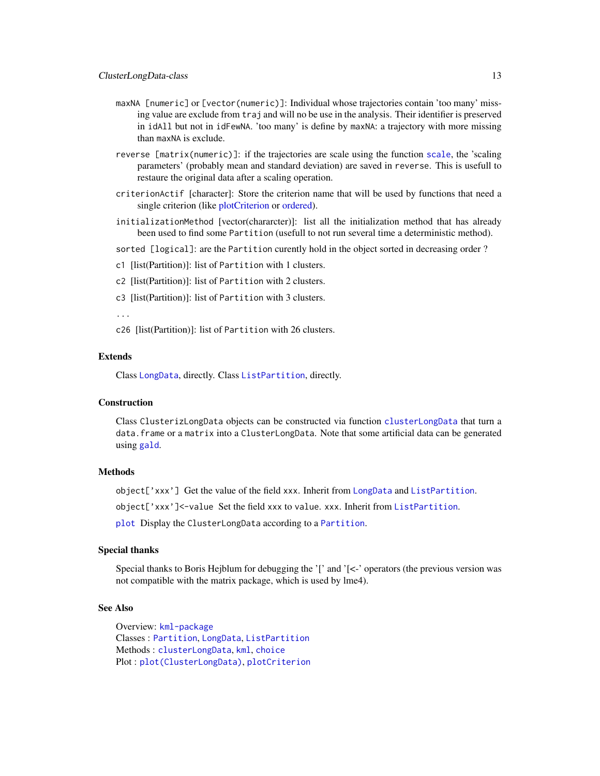- <span id="page-12-0"></span>maxNA [numeric] or [vector(numeric)]: Individual whose trajectories contain 'too many' missing value are exclude from traj and will no be use in the analysis. Their identifier is preserved in idAll but not in idFewNA. 'too many' is define by maxNA: a trajectory with more missing than maxNA is exclude.
- reverse [matrix(numeric)]: if the trajectories are scale using the function [scale](#page-0-0), the 'scaling parameters' (probably mean and standard deviation) are saved in reverse. This is usefull to restaure the original data after a scaling operation.
- criterionActif [character]: Store the criterion name that will be used by functions that need a single criterion (like [plotCriterion](#page-0-0) or [ordered\)](#page-0-0).
- initializationMethod [vector(chararcter)]: list all the initialization method that has already been used to find some Partition (usefull to not run several time a deterministic method).

sorted [logical]: are the Partition curently hold in the object sorted in decreasing order?

- c1 [list(Partition)]: list of Partition with 1 clusters.
- c2 [list(Partition)]: list of Partition with 2 clusters.
- c3 [list(Partition)]: list of Partition with 3 clusters.

...

c26 [list(Partition)]: list of Partition with 26 clusters.

#### Extends

Class [LongData](#page-0-0), directly. Class [ListPartition](#page-0-0), directly.

# Construction

Class ClusterizLongData objects can be constructed via function [clusterLongData](#page-9-1) that turn a data.frame or a matrix into a ClusterLongData. Note that some artificial data can be generated using [gald](#page-15-2).

#### Methods

object['xxx'] Get the value of the field xxx. Inherit from [LongData](#page-0-0) and [ListPartition](#page-0-0).

object['xxx']<-value Set the field xxx to value. xxx. Inherit from [ListPartition](#page-0-0).

[plot](#page-25-2) Display the ClusterLongData according to a [Partition](#page-0-0).

#### Special thanks

Special thanks to Boris Hejblum for debugging the  $\check{\ }$  and  $\check{\ }$  =  $\check{\ }$  operators (the previous version was not compatible with the matrix package, which is used by lme4).

#### See Also

Overview: [kml-package](#page-1-1) Classes : [Partition](#page-0-0), [LongData](#page-0-0), [ListPartition](#page-0-0) Methods : [clusterLongData](#page-9-1), [kml](#page-20-1), [choice](#page-7-1) Plot : [plot\(ClusterLongData\)](#page-0-0), [plotCriterion](#page-0-0)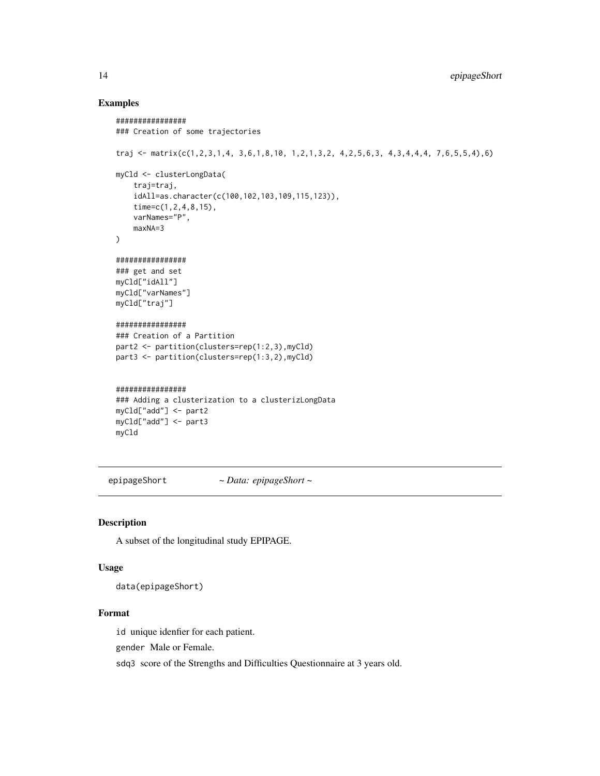### Examples

```
################
### Creation of some trajectories
traj <- matrix(c(1,2,3,1,4, 3,6,1,8,10, 1,2,1,3,2, 4,2,5,6,3, 4,3,4,4,4, 7,6,5,5,4),6)
myCld <- clusterLongData(
    traj=traj,
    idAll=as.character(c(100,102,103,109,115,123)),
    time=c(1,2,4,8,15),
   varNames="P",
   maxNA=3
)
################
### get and set
myCld["idAll"]
myCld["varNames"]
myCld["traj"]
################
### Creation of a Partition
part2 <- partition(clusters=rep(1:2,3),myCld)
part3 <- partition(clusters=rep(1:3,2),myCld)
################
### Adding a clusterization to a clusterizLongData
myCld["add"] <- part2
myCld["add"] <- part3
myCld
```
epipageShort *~ Data: epipageShort ~*

# Description

A subset of the longitudinal study EPIPAGE.

# Usage

data(epipageShort)

# Format

id unique idenfier for each patient.

gender Male or Female.

sdq3 score of the Strengths and Difficulties Questionnaire at 3 years old.

<span id="page-13-0"></span>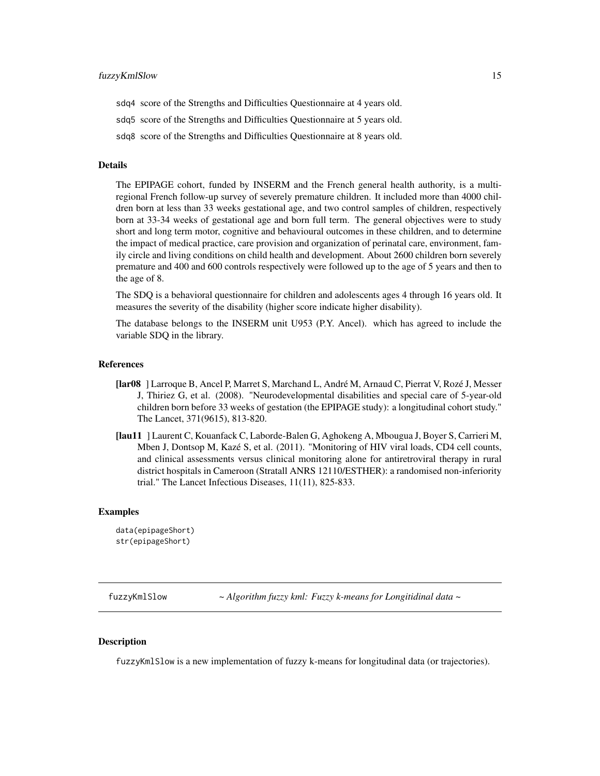<span id="page-14-0"></span>sdq4 score of the Strengths and Difficulties Questionnaire at 4 years old.

sdq5 score of the Strengths and Difficulties Questionnaire at 5 years old.

sdq8 score of the Strengths and Difficulties Questionnaire at 8 years old.

#### Details

The EPIPAGE cohort, funded by INSERM and the French general health authority, is a multiregional French follow-up survey of severely premature children. It included more than 4000 children born at less than 33 weeks gestational age, and two control samples of children, respectively born at 33-34 weeks of gestational age and born full term. The general objectives were to study short and long term motor, cognitive and behavioural outcomes in these children, and to determine the impact of medical practice, care provision and organization of perinatal care, environment, family circle and living conditions on child health and development. About 2600 children born severely premature and 400 and 600 controls respectively were followed up to the age of 5 years and then to the age of 8.

The SDQ is a behavioral questionnaire for children and adolescents ages 4 through 16 years old. It measures the severity of the disability (higher score indicate higher disability).

The database belongs to the INSERM unit U953 (P.Y. Ancel). which has agreed to include the variable SDQ in the library.

#### References

- [lar08 ] Larroque B, Ancel P, Marret S, Marchand L, André M, Arnaud C, Pierrat V, Rozé J, Messer J, Thiriez G, et al. (2008). "Neurodevelopmental disabilities and special care of 5-year-old children born before 33 weeks of gestation (the EPIPAGE study): a longitudinal cohort study." The Lancet, 371(9615), 813-820.
- [lau11 ] Laurent C, Kouanfack C, Laborde-Balen G, Aghokeng A, Mbougua J, Boyer S, Carrieri M, Mben J, Dontsop M, Kazé S, et al. (2011). "Monitoring of HIV viral loads, CD4 cell counts, and clinical assessments versus clinical monitoring alone for antiretroviral therapy in rural district hospitals in Cameroon (Stratall ANRS 12110/ESTHER): a randomised non-inferiority trial." The Lancet Infectious Diseases, 11(11), 825-833.

#### Examples

```
data(epipageShort)
str(epipageShort)
```
fuzzyKmlSlow *~ Algorithm fuzzy kml: Fuzzy k-means for Longitidinal data ~*

# Description

fuzzyKmlSlow is a new implementation of fuzzy k-means for longitudinal data (or trajectories).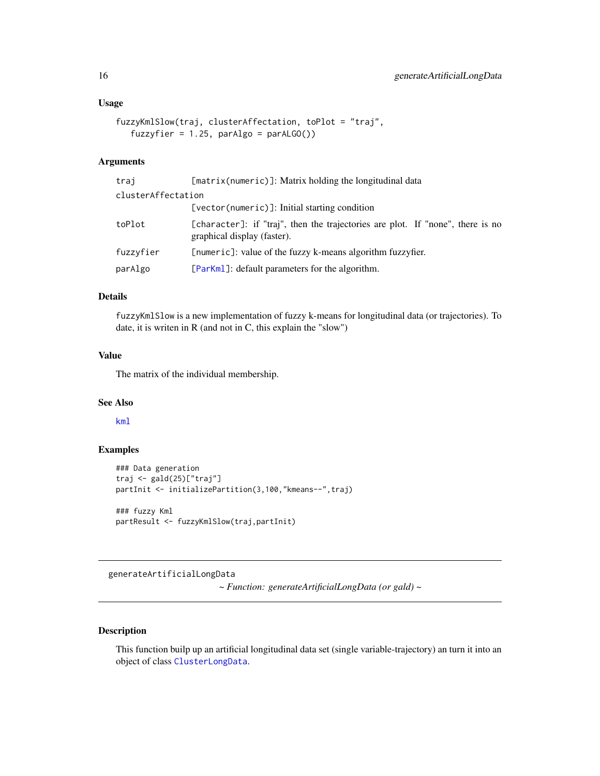#### <span id="page-15-0"></span>Usage

```
fuzzyKmlSlow(traj, clusterAffectation, toPlot = "traj",
  fuzzyfier = 1.25, parAlgo = parAlGO()
```
# Arguments

| trai               | [matrix(numeric)]: Matrix holding the longitudinal data                                                       |
|--------------------|---------------------------------------------------------------------------------------------------------------|
| clusterAffectation |                                                                                                               |
|                    | [vector(numeric)]: Initial starting condition                                                                 |
| toPlot             | [character]: if "traj", then the trajectories are plot. If "none", there is no<br>graphical display (faster). |
| fuzzyfier          | [numeric]: value of the fuzzy k-means algorithm fuzzyfier.                                                    |
| parAlgo            | [ParKm]]: default parameters for the algorithm.                                                               |

# Details

fuzzyKmlSlow is a new implementation of fuzzy k-means for longitudinal data (or trajectories). To date, it is writen in R (and not in C, this explain the "slow")

# Value

The matrix of the individual membership.

### See Also

[kml](#page-20-1)

#### Examples

```
### Data generation
traj <- gald(25)["traj"]
partInit <- initializePartition(3,100,"kmeans--",traj)
### fuzzy Kml
partResult <- fuzzyKmlSlow(traj,partInit)
```
<span id="page-15-1"></span>generateArtificialLongData

*~ Function: generateArtificialLongData (or gald) ~*

# <span id="page-15-2"></span>Description

This function builp up an artificial longitudinal data set (single variable-trajectory) an turn it into an object of class [ClusterLongData](#page-11-1).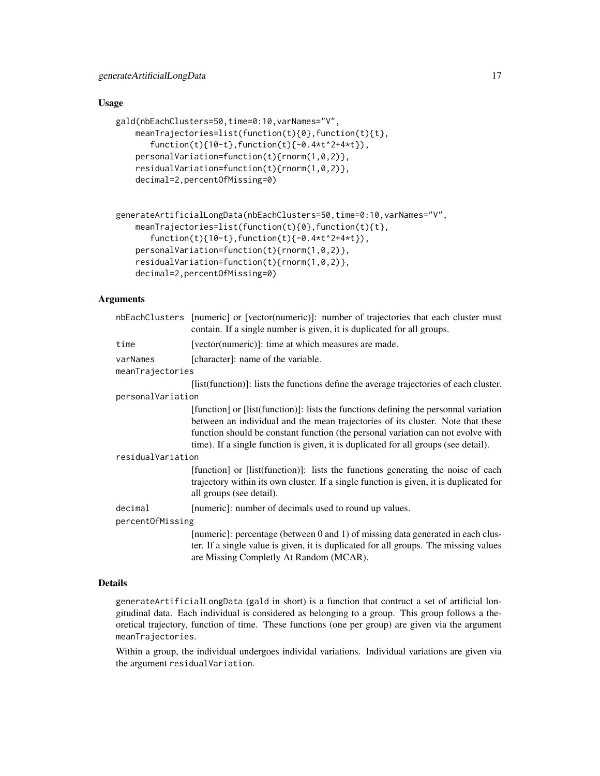#### Usage

```
gald(nbEachClusters=50,time=0:10,varNames="V",
   meanTrajectories=list(function(t){0},function(t){t},
       function(t){10-t},function(t){-0.4*t^2+4*t}),
    personalVariation=function(t){rnorm(1,0,2)},
    residualVariation=function(t){rnorm(1,0,2)},
    decimal=2,percentOfMissing=0)
```

```
generateArtificialLongData(nbEachClusters=50,time=0:10,varNames="V",
   meanTrajectories=list(function(t){0},function(t){t},
       function(t){10-t},function(t){-0.4*t^2+4*t}),
   personalVariation=function(t){rnorm(1,0,2)},
    residualVariation=function(t){rnorm(1,0,2)},
    decimal=2,percentOfMissing=0)
```
# Arguments

|                   | nbEachClusters [numeric] or [vector(numeric)]: number of trajectories that each cluster must<br>contain. If a single number is given, it is duplicated for all groups.                                                                                                                                                                             |  |  |  |  |
|-------------------|----------------------------------------------------------------------------------------------------------------------------------------------------------------------------------------------------------------------------------------------------------------------------------------------------------------------------------------------------|--|--|--|--|
| time              | [vector(numeric)]: time at which measures are made.                                                                                                                                                                                                                                                                                                |  |  |  |  |
| varNames          | [character]: name of the variable.                                                                                                                                                                                                                                                                                                                 |  |  |  |  |
| meanTrajectories  |                                                                                                                                                                                                                                                                                                                                                    |  |  |  |  |
|                   | [list(function)]: lists the functions define the average trajectories of each cluster.                                                                                                                                                                                                                                                             |  |  |  |  |
| personalVariation |                                                                                                                                                                                                                                                                                                                                                    |  |  |  |  |
|                   | [function] or [list(function)]: lists the functions defining the personnal variation<br>between an individual and the mean trajectories of its cluster. Note that these<br>function should be constant function (the personal variation can not evolve with<br>time). If a single function is given, it is duplicated for all groups (see detail). |  |  |  |  |
| residualVariation |                                                                                                                                                                                                                                                                                                                                                    |  |  |  |  |
|                   | [function] or [list(function)]: lists the functions generating the noise of each<br>trajectory within its own cluster. If a single function is given, it is duplicated for<br>all groups (see detail).                                                                                                                                             |  |  |  |  |
| decimal           | [numeric]: number of decimals used to round up values.                                                                                                                                                                                                                                                                                             |  |  |  |  |
| percentOfMissing  |                                                                                                                                                                                                                                                                                                                                                    |  |  |  |  |
|                   | [numeric]: percentage (between 0 and 1) of missing data generated in each clus-<br>ter. If a single value is given, it is duplicated for all groups. The missing values<br>are Missing Completly At Random (MCAR).                                                                                                                                 |  |  |  |  |

# Details

generateArtificialLongData (gald in short) is a function that contruct a set of artificial longitudinal data. Each individual is considered as belonging to a group. This group follows a theoretical trajectory, function of time. These functions (one per group) are given via the argument meanTrajectories.

Within a group, the individual undergoes individal variations. Individual variations are given via the argument residualVariation.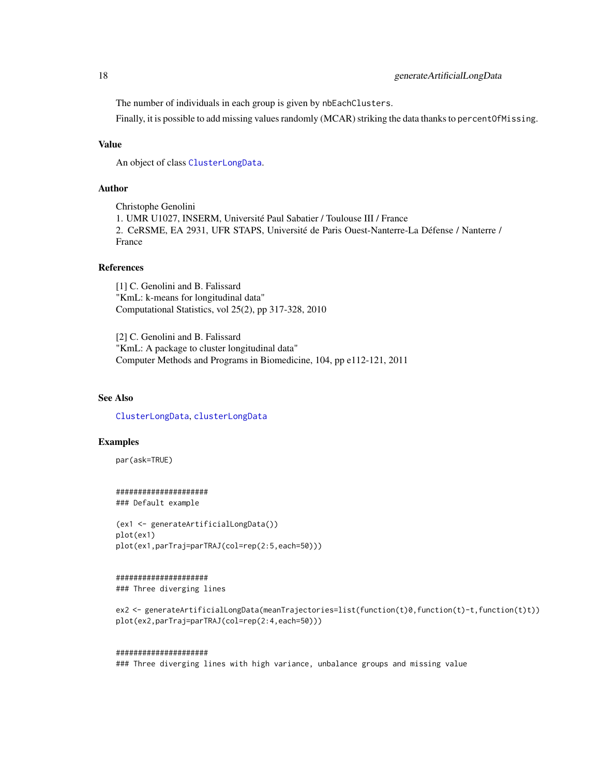# <span id="page-17-0"></span>18 generateArtificialLongData

The number of individuals in each group is given by nbEachClusters.

Finally, it is possible to add missing values randomly (MCAR) striking the data thanks to percentOfMissing.

#### Value

An object of class [ClusterLongData](#page-11-1).

# Author

Christophe Genolini 1. UMR U1027, INSERM, Université Paul Sabatier / Toulouse III / France 2. CeRSME, EA 2931, UFR STAPS, Université de Paris Ouest-Nanterre-La Défense / Nanterre / France

#### References

[1] C. Genolini and B. Falissard "KmL: k-means for longitudinal data" Computational Statistics, vol 25(2), pp 317-328, 2010

[2] C. Genolini and B. Falissard "KmL: A package to cluster longitudinal data" Computer Methods and Programs in Biomedicine, 104, pp e112-121, 2011

# See Also

[ClusterLongData](#page-11-1), [clusterLongData](#page-9-1)

# Examples

par(ask=TRUE)

##################### ### Default example

```
(ex1 <- generateArtificialLongData())
plot(ex1)
plot(ex1,parTraj=parTRAJ(col=rep(2:5,each=50)))
```
#### #####################

### Three diverging lines

ex2 <- generateArtificialLongData(meanTrajectories=list(function(t)0,function(t)-t,function(t)t)) plot(ex2,parTraj=parTRAJ(col=rep(2:4,each=50)))

#### #####################

### Three diverging lines with high variance, unbalance groups and missing value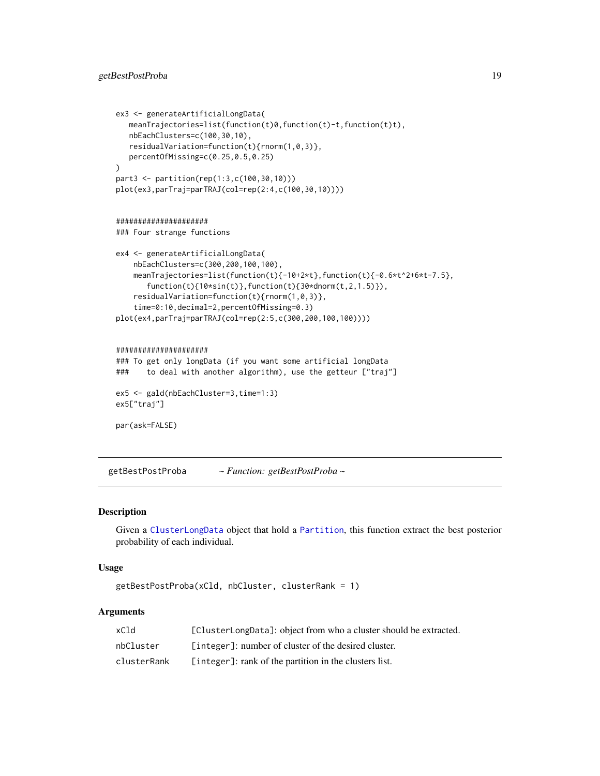```
ex3 <- generateArtificialLongData(
   meanTrajectories=list(function(t)0,function(t)-t,function(t)t),
   nbEachClusters=c(100,30,10),
   residualVariation=function(t){rnorm(1,0,3)},
   percentOfMissing=c(0.25,0.5,0.25)
\lambdapart3 <- partition(rep(1:3,c(100,30,10)))
plot(ex3,parTraj=parTRAJ(col=rep(2:4,c(100,30,10))))
#####################
### Four strange functions
ex4 <- generateArtificialLongData(
    nbEachClusters=c(300,200,100,100),
   meanTrajectories=list(function(t){-10+2*t},function(t){-0.6*t^2+6*t-7.5},
       function(t){10*sin(t)},function(t){30*dnorm(t,2,1.5)}),
    residualVariation=function(t){rnorm(1,0,3)},
    time=0:10,decimal=2,percentOfMissing=0.3)
plot(ex4,parTraj=parTRAJ(col=rep(2:5,c(300,200,100,100))))
#####################
### To get only longData (if you want some artificial longData
### to deal with another algorithm), use the getteur ["traj"]
```

```
ex5 <- gald(nbEachCluster=3,time=1:3)
ex5["traj"]
```

```
par(ask=FALSE)
```
getBestPostProba *~ Function: getBestPostProba ~*

### Description

Given a [ClusterLongData](#page-11-1) object that hold a [Partition](#page-0-0), this function extract the best posterior probability of each individual.

# Usage

```
getBestPostProba(xCld, nbCluster, clusterRank = 1)
```
# Arguments

| xC1d        | [ClusterLongData]: object from who a cluster should be extracted. |
|-------------|-------------------------------------------------------------------|
| nbCluster   | [integer]: number of cluster of the desired cluster.              |
| clusterRank | [integer]: rank of the partition in the clusters list.            |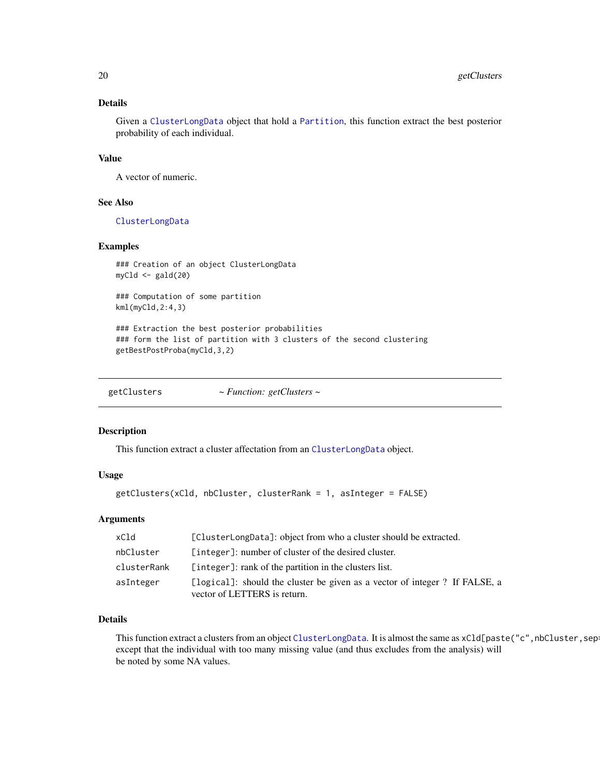# <span id="page-19-0"></span>Details

Given a [ClusterLongData](#page-11-1) object that hold a [Partition](#page-0-0), this function extract the best posterior probability of each individual.

#### Value

A vector of numeric.

#### See Also

[ClusterLongData](#page-11-1)

#### Examples

```
### Creation of an object ClusterLongData
myCld <- gald(20)
```
### Computation of some partition kml(myCld,2:4,3)

### Extraction the best posterior probabilities ### form the list of partition with 3 clusters of the second clustering getBestPostProba(myCld,3,2)

getClusters *~ Function: getClusters ~*

#### Description

This function extract a cluster affectation from an [ClusterLongData](#page-11-1) object.

#### Usage

```
getClusters(xCld, nbCluster, clusterRank = 1, asInteger = FALSE)
```
#### Arguments

| xCld        | [ClusterLongData]: object from who a cluster should be extracted.                                          |
|-------------|------------------------------------------------------------------------------------------------------------|
| nbCluster   | [integer]: number of cluster of the desired cluster.                                                       |
| clusterRank | [integer]: rank of the partition in the clusters list.                                                     |
| asInteger   | [logical]: should the cluster be given as a vector of integer? If FALSE, a<br>vector of LETTERS is return. |

# Details

This function extract a clusters from an object [ClusterLongData](#page-11-1). It is almost the same as xCld[paste("c", nbCluster, sepexcept that the individual with too many missing value (and thus excludes from the analysis) will be noted by some NA values.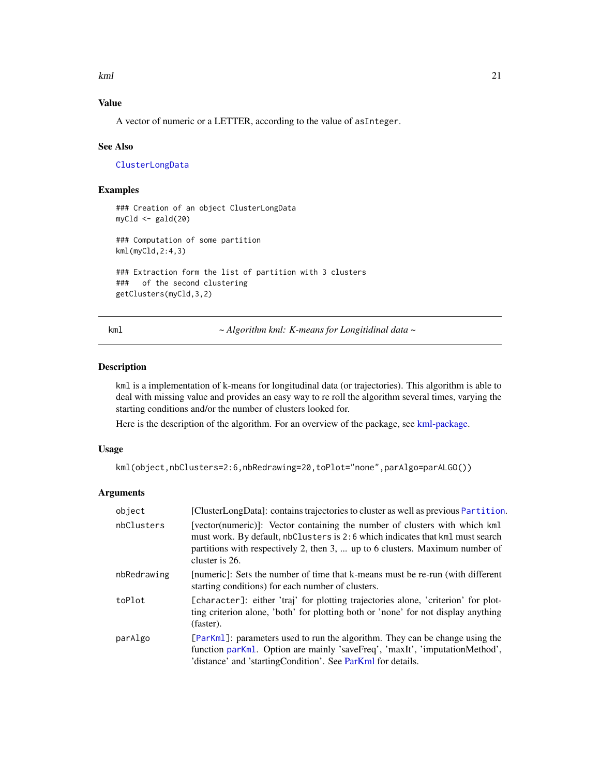<span id="page-20-0"></span> $kml$  21

# Value

A vector of numeric or a LETTER, according to the value of asInteger.

#### See Also

[ClusterLongData](#page-11-1)

### Examples

```
### Creation of an object ClusterLongData
myCld <- gald(20)
### Computation of some partition
kml(myCld,2:4,3)
### Extraction form the list of partition with 3 clusters
### of the second clustering
getClusters(myCld,3,2)
```
<span id="page-20-1"></span>kml *~ Algorithm kml: K-means for Longitidinal data ~*

#### Description

kml is a implementation of k-means for longitudinal data (or trajectories). This algorithm is able to deal with missing value and provides an easy way to re roll the algorithm several times, varying the starting conditions and/or the number of clusters looked for.

Here is the description of the algorithm. For an overview of the package, see [kml-package.](#page-1-1)

#### Usage

```
kml(object,nbClusters=2:6,nbRedrawing=20,toPlot="none",parAlgo=parALGO())
```
#### Arguments

| object      | [ClusterLongData]: contains trajectories to cluster as well as previous Partition.                                                                                                                                                                            |
|-------------|---------------------------------------------------------------------------------------------------------------------------------------------------------------------------------------------------------------------------------------------------------------|
| nbClusters  | [vector(numeric)]: Vector containing the number of clusters with which kml<br>must work. By default, nbClusters is 2:6 which indicates that kml must search<br>partitions with respectively 2, then 3,  up to 6 clusters. Maximum number of<br>cluster is 26. |
| nbRedrawing | [numeric]: Sets the number of time that k-means must be re-run (with different<br>starting conditions) for each number of clusters.                                                                                                                           |
| toPlot      | [character]: either 'traj' for plotting trajectories alone, 'criterion' for plot-<br>ting criterion alone, 'both' for plotting both or 'none' for not display anything<br>(faster).                                                                           |
| parAlgo     | [ParKml]: parameters used to run the algorithm. They can be change using the<br>function parKml. Option are mainly 'saveFreq', 'maxIt', 'imputationMethod',<br>'distance' and 'startingCondition'. See ParKml for details.                                    |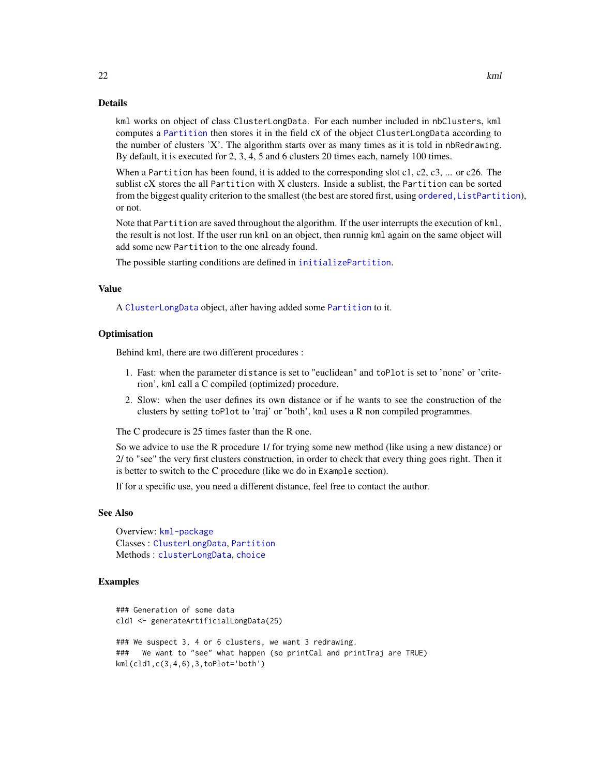<span id="page-21-0"></span>kml works on object of class ClusterLongData. For each number included in nbClusters, kml computes a [Partition](#page-0-0) then stores it in the field cX of the object ClusterLongData according to the number of clusters 'X'. The algorithm starts over as many times as it is told in nbRedrawing. By default, it is executed for 2, 3, 4, 5 and 6 clusters 20 times each, namely 100 times.

When a Partition has been found, it is added to the corresponding slot  $c1$ ,  $c2$ ,  $c3$ , ... or  $c26$ . The sublist cX stores the all Partition with X clusters. Inside a sublist, the Partition can be sorted from the biggest quality criterion to the smallest (the best are stored first, using [ordered,ListPartition](#page-0-0)), or not.

Note that Partition are saved throughout the algorithm. If the user interrupts the execution of kml, the result is not lost. If the user run kml on an object, then runnig kml again on the same object will add some new Partition to the one already found.

The possible starting conditions are defined in [initializePartition](#page-0-0).

#### Value

A [ClusterLongData](#page-11-1) object, after having added some [Partition](#page-0-0) to it.

#### **Optimisation**

Behind kml, there are two different procedures :

- 1. Fast: when the parameter distance is set to "euclidean" and toPlot is set to 'none' or 'criterion', kml call a C compiled (optimized) procedure.
- 2. Slow: when the user defines its own distance or if he wants to see the construction of the clusters by setting toPlot to 'traj' or 'both', kml uses a R non compiled programmes.

The C prodecure is 25 times faster than the R one.

So we advice to use the R procedure 1/ for trying some new method (like using a new distance) or 2/ to "see" the very first clusters construction, in order to check that every thing goes right. Then it is better to switch to the C procedure (like we do in Example section).

If for a specific use, you need a different distance, feel free to contact the author.

#### See Also

Overview: [kml-package](#page-1-1) Classes : [ClusterLongData](#page-11-1), [Partition](#page-0-0) Methods : [clusterLongData](#page-9-1), [choice](#page-7-1)

# Examples

```
### Generation of some data
cld1 <- generateArtificialLongData(25)
### We suspect 3, 4 or 6 clusters, we want 3 redrawing.
### We want to "see" what happen (so printCal and printTraj are TRUE)
kml(cld1,c(3,4,6),3,toPlot='both')
```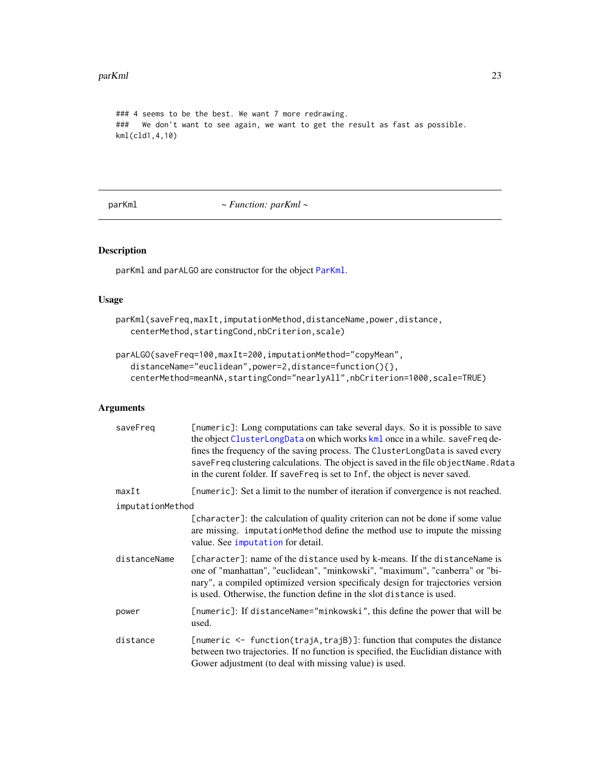#### <span id="page-22-0"></span>parKml 23

```
### 4 seems to be the best. We want 7 more redrawing.
### We don't want to see again, we want to get the result as fast as possible.
kml(cld1,4,10)
```
parKml *~ Function: parKml ~*

#### Description

parKml and parALGO are constructor for the object [ParKml](#page-23-1).

### Usage

```
parKml(saveFreq,maxIt,imputationMethod,distanceName,power,distance,
   centerMethod,startingCond,nbCriterion,scale)
```

```
parALGO(saveFreq=100,maxIt=200,imputationMethod="copyMean",
   distanceName="euclidean",power=2,distance=function(){},
   centerMethod=meanNA,startingCond="nearlyAll",nbCriterion=1000,scale=TRUE)
```
# Arguments

| saveFreg         | [numeric]: Long computations can take several days. So it is possible to save<br>the object ClusterLongData on which works kml once in a while. saveFreq de-<br>fines the frequency of the saving process. The ClusterLongData is saved every<br>saveFreq clustering calculations. The object is saved in the file objectName. Rdata<br>in the curent folder. If saveFreq is set to Inf, the object is never saved. |
|------------------|---------------------------------------------------------------------------------------------------------------------------------------------------------------------------------------------------------------------------------------------------------------------------------------------------------------------------------------------------------------------------------------------------------------------|
| maxIt            | [numeric]: Set a limit to the number of iteration if convergence is not reached.                                                                                                                                                                                                                                                                                                                                    |
| imputationMethod |                                                                                                                                                                                                                                                                                                                                                                                                                     |
|                  | [character]: the calculation of quality criterion can not be done if some value<br>are missing. imputation Method define the method use to impute the missing<br>value. See imputation for detail.                                                                                                                                                                                                                  |
| distanceName     | [character]: name of the distance used by k-means. If the distance Name is<br>one of "manhattan", "euclidean", "minkowski", "maximum", "canberra" or "bi-<br>nary", a compiled optimized version specificaly design for trajectories version<br>is used. Otherwise, the function define in the slot distance is used.                                                                                               |
| power            | [numeric]: If distanceName="minkowski", this define the power that will be<br>used.                                                                                                                                                                                                                                                                                                                                 |
| distance         | [numeric $\le$ function(trajA, trajB)]: function that computes the distance<br>between two trajectories. If no function is specified, the Euclidian distance with<br>Gower adjustment (to deal with missing value) is used.                                                                                                                                                                                         |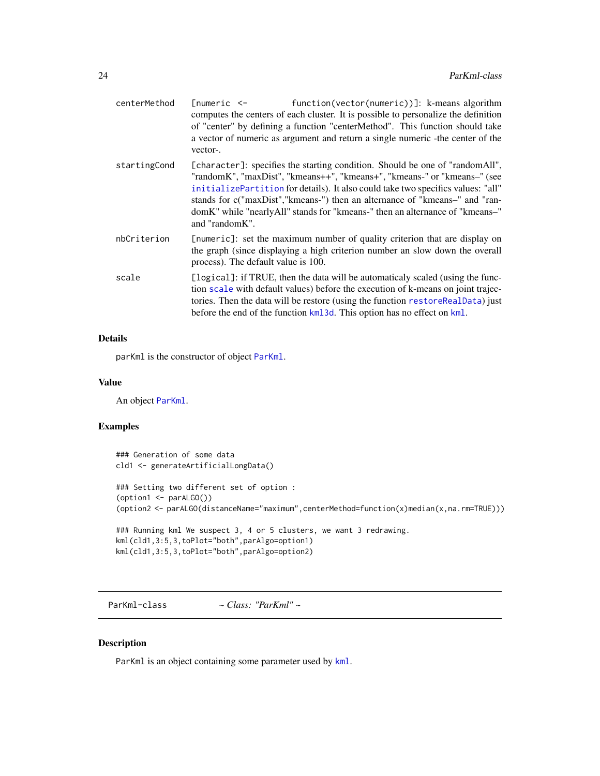<span id="page-23-0"></span>

| centerMethod | function(vector(numeric))]: k-means algorithm<br>$[numeric < -$<br>computes the centers of each cluster. It is possible to personalize the definition<br>of "center" by defining a function "centerMethod". This function should take<br>a vector of numeric as argument and return a single numeric - the center of the<br>vector-.                                                                                            |
|--------------|---------------------------------------------------------------------------------------------------------------------------------------------------------------------------------------------------------------------------------------------------------------------------------------------------------------------------------------------------------------------------------------------------------------------------------|
| startingCond | [character]: specifies the starting condition. Should be one of "random All",<br>"randomK", "maxDist", "kmeans++", "kmeans+", "kmeans-" or "kmeans-" (see<br>initializePartition for details). It also could take two specifics values: "all"<br>stands for c("maxDist","kmeans-") then an alternance of "kmeans-" and "ran-<br>domK" while "nearly All" stands for "kmeans-" then an alternance of "kmeans-"<br>and "randomK". |
| nbCriterion  | [numeric]: set the maximum number of quality criterion that are display on<br>the graph (since displaying a high criterion number an slow down the overall<br>process). The default value is 100.                                                                                                                                                                                                                               |
| scale        | [logical]: if TRUE, then the data will be automaticaly scaled (using the func-<br>tion scale with default values) before the execution of k-means on joint trajec-<br>tories. Then the data will be restore (using the function restoreRealData) just<br>before the end of the function kml 3d. This option has no effect on kml.                                                                                               |

# Details

parKml is the constructor of object [ParKml](#page-23-1).

# Value

An object [ParKml](#page-23-1).

# Examples

```
### Generation of some data
cld1 <- generateArtificialLongData()
### Setting two different set of option :
(option1 <- parALGO())
(option2 <- parALGO(distanceName="maximum",centerMethod=function(x)median(x,na.rm=TRUE)))
### Running kml We suspect 3, 4 or 5 clusters, we want 3 redrawing.
kml(cld1,3:5,3,toPlot="both",parAlgo=option1)
kml(cld1,3:5,3,toPlot="both",parAlgo=option2)
```
<span id="page-23-1"></span>ParKml-class *~ Class: "ParKml" ~*

# Description

ParKml is an object containing some parameter used by [kml](#page-20-1).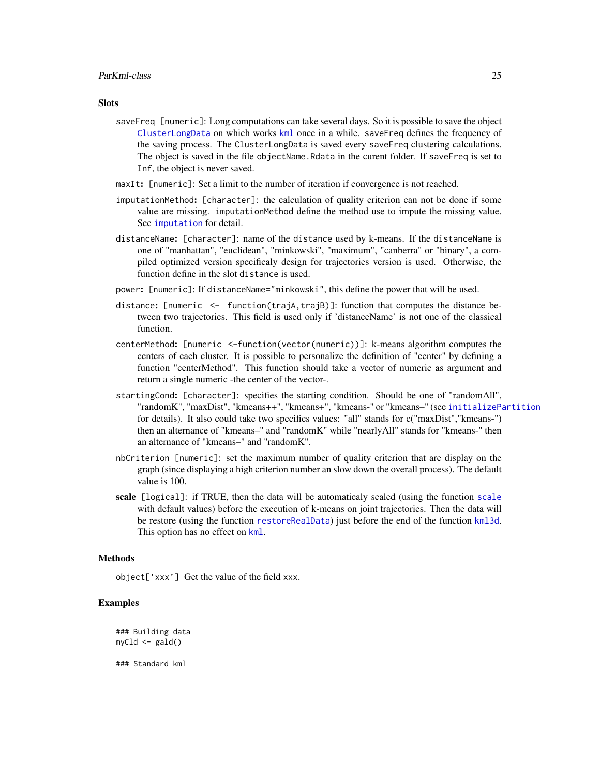#### <span id="page-24-0"></span>ParKml-class 25

#### **Slots**

- saveFreq [numeric]: Long computations can take several days. So it is possible to save the object [ClusterLongData](#page-11-1) on which works [kml](#page-20-1) once in a while. saveFreq defines the frequency of the saving process. The ClusterLongData is saved every saveFreq clustering calculations. The object is saved in the file objectName.Rdata in the curent folder. If saveFreq is set to Inf, the object is never saved.
- maxIt: [numeric]: Set a limit to the number of iteration if convergence is not reached.
- imputationMethod: [character]: the calculation of quality criterion can not be done if some value are missing. imputationMethod define the method use to impute the missing value. See [imputation](#page-0-0) for detail.
- distanceName: [character]: name of the distance used by k-means. If the distanceName is one of "manhattan", "euclidean", "minkowski", "maximum", "canberra" or "binary", a compiled optimized version specificaly design for trajectories version is used. Otherwise, the function define in the slot distance is used.
- power: [numeric]: If distanceName="minkowski", this define the power that will be used.
- distance: [numeric <- function(trajA,trajB)]: function that computes the distance between two trajectories. This field is used only if 'distanceName' is not one of the classical function.
- centerMethod: [numeric <-function(vector(numeric))]: k-means algorithm computes the centers of each cluster. It is possible to personalize the definition of "center" by defining a function "centerMethod". This function should take a vector of numeric as argument and return a single numeric -the center of the vector-.
- startingCond: [character]: specifies the starting condition. Should be one of "randomAll", "randomK", "maxDist", "kmeans++", "kmeans+", "kmeans-" or "kmeans–" (see [initializePartition](#page-0-0) for details). It also could take two specifics values: "all" stands for c("maxDist","kmeans-") then an alternance of "kmeans–" and "randomK" while "nearlyAll" stands for "kmeans-" then an alternance of "kmeans–" and "randomK".
- nbCriterion [numeric]: set the maximum number of quality criterion that are display on the graph (since displaying a high criterion number an slow down the overall process). The default value is 100.
- scale [logical]: if TRUE, then the data will be automaticaly scaled (using the function [scale](#page-0-0) with default values) before the execution of k-means on joint trajectories. Then the data will be restore (using the function [restoreRealData](#page-0-0)) just before the end of the function [kml3d](#page-0-0). This option has no effect on [kml](#page-20-1).

#### Methods

object['xxx'] Get the value of the field xxx.

# Examples

### Building data myCld <- gald() ### Standard kml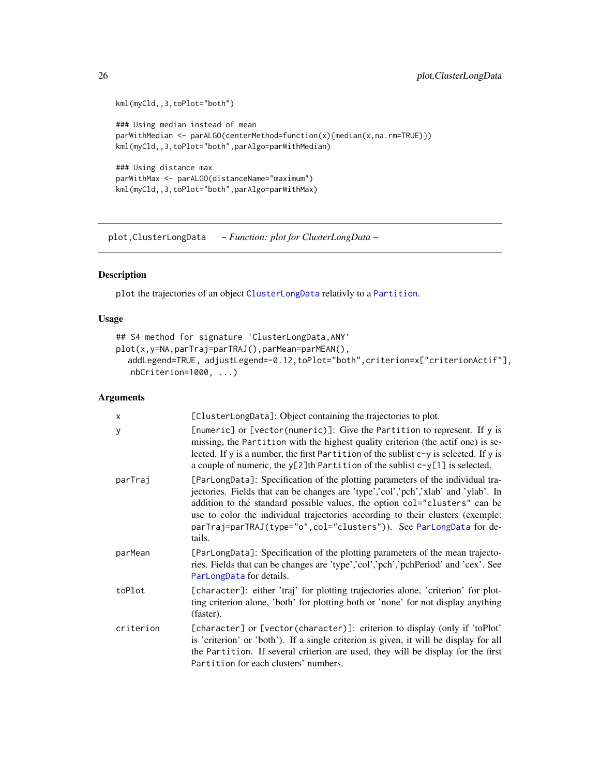```
kml(myCld,,3,toPlot="both")
### Using median instead of mean
parWithMedian <- parALGO(centerMethod=function(x){median(x,na.rm=TRUE)})
kml(myCld,,3,toPlot="both",parAlgo=parWithMedian)
### Using distance max
parWithMax <- parALGO(distanceName="maximum")
kml(myCld,,3,toPlot="both",parAlgo=parWithMax)
```
<span id="page-25-2"></span>plot,ClusterLongData *~ Function: plot for ClusterLongData ~*

# <span id="page-25-1"></span>Description

plot the trajectories of an object [ClusterLongData](#page-11-1) relativly to a [Partition](#page-0-0).

# Usage

```
## S4 method for signature 'ClusterLongData,ANY'
plot(x,y=NA,parTraj=parTRAJ(),parMean=parMEAN(),
  addLegend=TRUE, adjustLegend=-0.12,toPlot="both",criterion=x["criterionActif"],
   nbCriterion=1000, ...)
```
#### Arguments

| X         | [ClusterLongData]: Object containing the trajectories to plot.                                                                                                                                                                                                                                                                                                                                                        |
|-----------|-----------------------------------------------------------------------------------------------------------------------------------------------------------------------------------------------------------------------------------------------------------------------------------------------------------------------------------------------------------------------------------------------------------------------|
| у         | [numeric] or [vector(numeric)]: Give the Partition to represent. If y is<br>missing, the Partition with the highest quality criterion (the actif one) is se-<br>lected. If y is a number, the first Partition of the sublist c-y is selected. If y is<br>a couple of numeric, the $y[2]$ th Partition of the sublist $c-y[1]$ is selected.                                                                            |
| parTraj   | [ParLongData]: Specification of the plotting parameters of the individual tra-<br>jectories. Fields that can be changes are 'type','col','pch','xlab' and 'ylab'. In<br>addition to the standard possible values, the option col="clusters" can be<br>use to color the individual trajectories according to their clusters (exemple:<br>parTraj=parTRAJ(type="o", col="clusters")). See ParLongData for de-<br>tails. |
| parMean   | [ParLongData]: Specification of the plotting parameters of the mean trajecto-<br>ries. Fields that can be changes are 'type','col','pch','pchPeriod' and 'cex'. See<br>ParLongData for details.                                                                                                                                                                                                                       |
| toPlot    | [character]: either 'traj' for plotting trajectories alone, 'criterion' for plot-<br>ting criterion alone, 'both' for plotting both or 'none' for not display anything<br>(faster).                                                                                                                                                                                                                                   |
| criterion | [character] or [vector(character)]: criterion to display (only if 'toPlot'<br>is 'criterion' or 'both'). If a single criterion is given, it will be display for all<br>the Partition. If several criterion are used, they will be display for the first<br>Partition for each clusters' numbers.                                                                                                                      |

<span id="page-25-0"></span>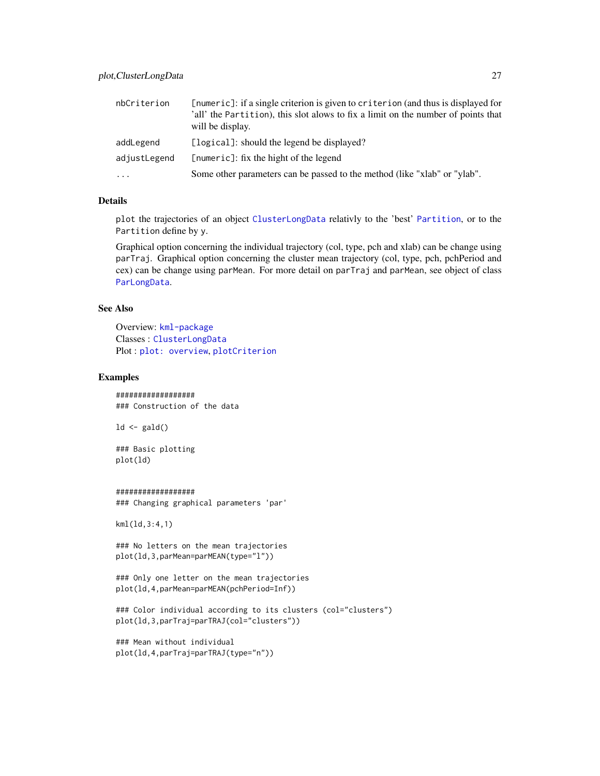<span id="page-26-0"></span>

| nbCriterion  | [numeric]: if a single criterion is given to criterion (and thus is displayed for<br>'all' the Partition), this slot alows to fix a limit on the number of points that<br>will be display. |
|--------------|--------------------------------------------------------------------------------------------------------------------------------------------------------------------------------------------|
| addLegend    | [logical]: should the legend be displayed?                                                                                                                                                 |
| adjustLegend | [numeric]: fix the hight of the legend                                                                                                                                                     |
| $\cdots$     | Some other parameters can be passed to the method (like "xlab" or "ylab".                                                                                                                  |

# Details

plot the trajectories of an object [ClusterLongData](#page-11-1) relativly to the 'best' [Partition](#page-0-0), or to the Partition define by y.

Graphical option concerning the individual trajectory (col, type, pch and xlab) can be change using parTraj. Graphical option concerning the cluster mean trajectory (col, type, pch, pchPeriod and cex) can be change using parMean. For more detail on parTraj and parMean, see object of class [ParLongData](#page-0-0).

# See Also

Overview: [kml-package](#page-1-1) Classes : [ClusterLongData](#page-11-1) Plot : [plot: overview](#page-0-0), [plotCriterion](#page-0-0)

# Examples

################## ### Construction of the data

 $ld \leftarrow \text{gald}()$ 

### Basic plotting plot(ld)

#### ##################

### Changing graphical parameters 'par'

kml(ld,3:4,1)

```
### No letters on the mean trajectories
plot(ld,3,parMean=parMEAN(type="l"))
```

```
### Only one letter on the mean trajectories
plot(ld,4,parMean=parMEAN(pchPeriod=Inf))
```

```
### Color individual according to its clusters (col="clusters")
plot(ld,3,parTraj=parTRAJ(col="clusters"))
```

```
### Mean without individual
plot(ld,4,parTraj=parTRAJ(type="n"))
```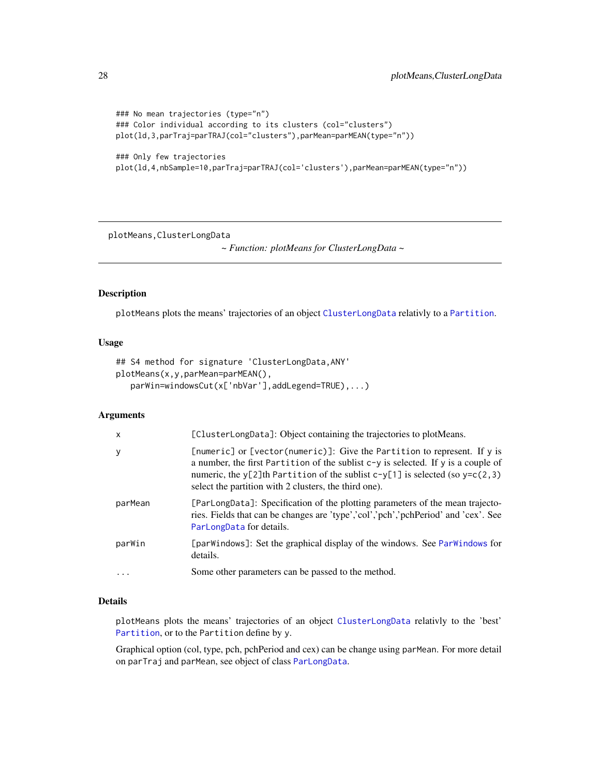```
### No mean trajectories (type="n")
### Color individual according to its clusters (col="clusters")
plot(ld,3,parTraj=parTRAJ(col="clusters"),parMean=parMEAN(type="n"))
### Only few trajectories
plot(ld,4,nbSample=10,parTraj=parTRAJ(col='clusters'),parMean=parMEAN(type="n"))
```
plotMeans,ClusterLongData

*~ Function: plotMeans for ClusterLongData ~*

#### Description

plotMeans plots the means' trajectories of an object [ClusterLongData](#page-11-1) relativly to a [Partition](#page-0-0).

#### Usage

```
## S4 method for signature 'ClusterLongData,ANY'
plotMeans(x,y,parMean=parMEAN(),
  parWin=windowsCut(x['nbVar'],addLegend=TRUE),...)
```
# Arguments

| $\times$  | [ClusterLongData]: Object containing the trajectories to plotMeans.                                                                                                                                                                                                                                            |
|-----------|----------------------------------------------------------------------------------------------------------------------------------------------------------------------------------------------------------------------------------------------------------------------------------------------------------------|
| У         | [numeric] or [vector(numeric)]: Give the Partition to represent. If y is<br>a number, the first Partition of the sublist $c-y$ is selected. If y is a couple of<br>numeric, the y[2]th Partition of the sublist $c-y[1]$ is selected (so $y=c(2,3)$ )<br>select the partition with 2 clusters, the third one). |
| parMean   | [ParLongData]: Specification of the plotting parameters of the mean trajecto-<br>ries. Fields that can be changes are 'type','col','pch','pchPeriod' and 'cex'. See<br>ParLongData for details.                                                                                                                |
| parWin    | [parWindows]: Set the graphical display of the windows. See ParWindows for<br>details.                                                                                                                                                                                                                         |
| $\ddotsc$ | Some other parameters can be passed to the method.                                                                                                                                                                                                                                                             |

#### Details

plotMeans plots the means' trajectories of an object [ClusterLongData](#page-11-1) relativly to the 'best' [Partition](#page-0-0), or to the Partition define by y.

Graphical option (col, type, pch, pchPeriod and cex) can be change using parMean. For more detail on parTraj and parMean, see object of class [ParLongData](#page-0-0).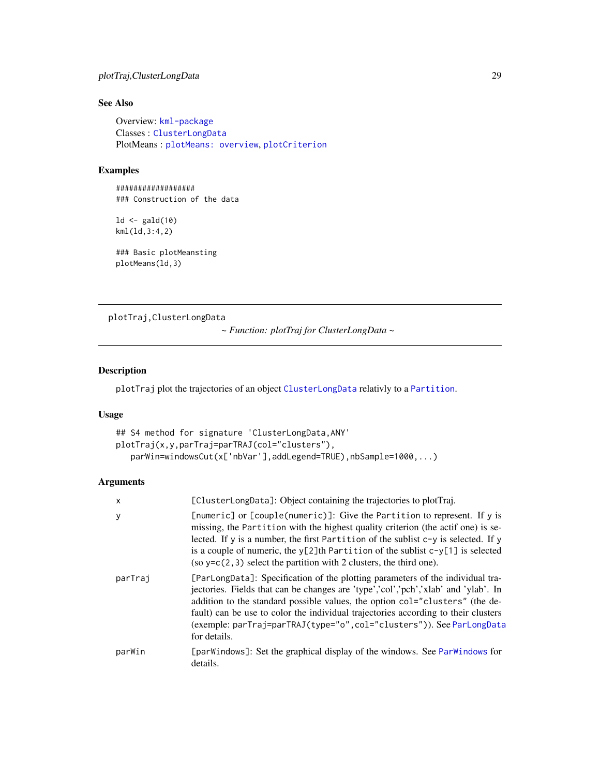# <span id="page-28-0"></span>plotTraj,ClusterLongData 29

# See Also

Overview: [kml-package](#page-1-1) Classes : [ClusterLongData](#page-11-1) PlotMeans : [plotMeans: overview](#page-0-0), [plotCriterion](#page-0-0)

#### Examples

################## ### Construction of the data

 $ld \leftarrow \text{gald}(10)$ kml(ld,3:4,2)

### Basic plotMeansting plotMeans(ld,3)

plotTraj,ClusterLongData

*~ Function: plotTraj for ClusterLongData ~*

#### Description

plotTraj plot the trajectories of an object [ClusterLongData](#page-11-1) relativly to a [Partition](#page-0-0).

# Usage

```
## S4 method for signature 'ClusterLongData,ANY'
plotTraj(x,y,parTraj=parTRAJ(col="clusters"),
   parWin=windowsCut(x['nbVar'],addLegend=TRUE),nbSample=1000,...)
```
# Arguments

| x       | [ClusterLongData]: Object containing the trajectories to plotTraj.                                                                                                                                                                                                                                                                                                                                                                  |
|---------|-------------------------------------------------------------------------------------------------------------------------------------------------------------------------------------------------------------------------------------------------------------------------------------------------------------------------------------------------------------------------------------------------------------------------------------|
| у       | [numeric] or [couple(numeric)]: Give the Partition to represent. If y is<br>missing, the Partition with the highest quality criterion (the actif one) is se-<br>lected. If y is a number, the first Partition of the sublist $c-y$ is selected. If y<br>is a couple of numeric, the $y[2]$ th Partition of the sublist $c-y[1]$ is selected<br>(so $y=c(2,3)$ select the partition with 2 clusters, the third one).                 |
| parTraj | [ParLongData]: Specification of the plotting parameters of the individual tra-<br>jectories. Fields that can be changes are 'type','col','pch','xlab' and 'ylab'. In<br>addition to the standard possible values, the option col="clusters" (the de-<br>fault) can be use to color the individual trajectories according to their clusters<br>(exemple: parTraj=parTRAJ(type="o", col="clusters")). See ParLongData<br>for details. |
| parWin  | [parWindows]: Set the graphical display of the windows. See ParWindows for<br>details.                                                                                                                                                                                                                                                                                                                                              |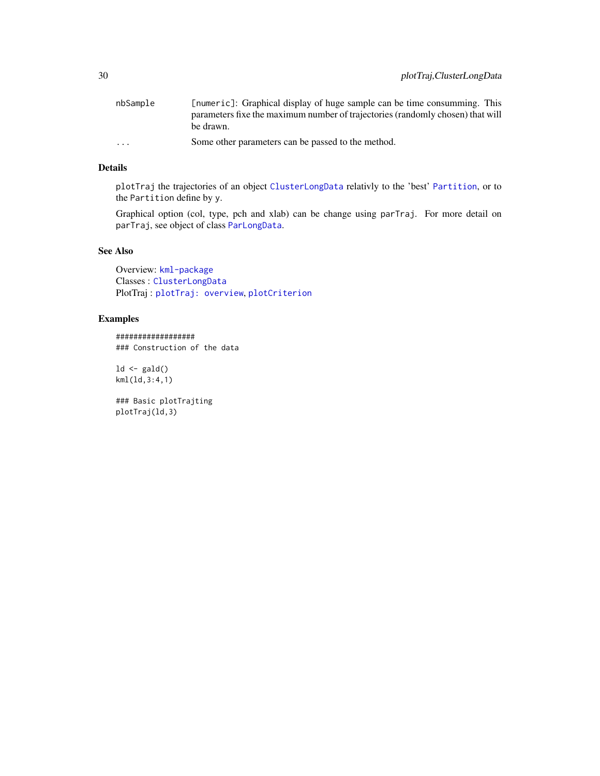<span id="page-29-0"></span>

| nbSample                | [numeric]: Graphical display of huge sample can be time consumming. This       |
|-------------------------|--------------------------------------------------------------------------------|
|                         | parameters fixe the maximum number of trajectories (randomly chosen) that will |
|                         | be drawn.                                                                      |
| $\cdot$ $\cdot$ $\cdot$ | Some other parameters can be passed to the method.                             |

# Details

plotTraj the trajectories of an object [ClusterLongData](#page-11-1) relativly to the 'best' [Partition](#page-0-0), or to the Partition define by y.

Graphical option (col, type, pch and xlab) can be change using parTraj. For more detail on parTraj, see object of class [ParLongData](#page-0-0).

# See Also

Overview: [kml-package](#page-1-1) Classes : [ClusterLongData](#page-11-1) PlotTraj : [plotTraj: overview](#page-0-0), [plotCriterion](#page-0-0)

# Examples

################## ### Construction of the data

 $ld \leftarrow \text{gald}()$ kml(ld,3:4,1)

### Basic plotTrajting plotTraj(ld,3)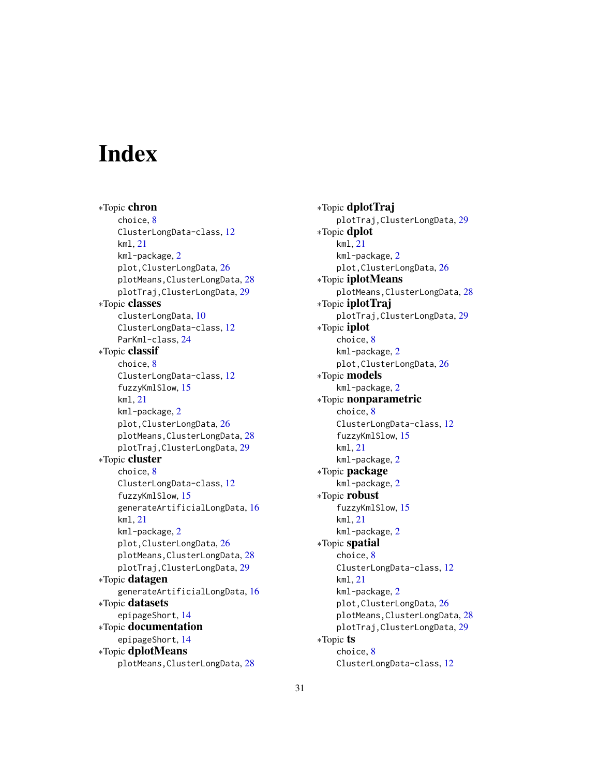# <span id="page-30-0"></span>**Index**

∗Topic chron choice, [8](#page-7-0) ClusterLongData-class, [12](#page-11-0) kml, [21](#page-20-0) kml-package, [2](#page-1-0) plot,ClusterLongData, [26](#page-25-0) plotMeans,ClusterLongData, [28](#page-27-0) plotTraj,ClusterLongData, [29](#page-28-0) ∗Topic classes clusterLongData, [10](#page-9-0) ClusterLongData-class, [12](#page-11-0) ParKml-class, [24](#page-23-0) ∗Topic classif choice, [8](#page-7-0) ClusterLongData-class, [12](#page-11-0) fuzzyKmlSlow, [15](#page-14-0) kml, [21](#page-20-0) kml-package, [2](#page-1-0) plot,ClusterLongData, [26](#page-25-0) plotMeans,ClusterLongData, [28](#page-27-0) plotTraj,ClusterLongData, [29](#page-28-0) ∗Topic cluster choice, [8](#page-7-0) ClusterLongData-class, [12](#page-11-0) fuzzyKmlSlow, [15](#page-14-0) generateArtificialLongData, [16](#page-15-0) kml, [21](#page-20-0) kml-package, [2](#page-1-0) plot,ClusterLongData, [26](#page-25-0) plotMeans,ClusterLongData, [28](#page-27-0) plotTraj,ClusterLongData, [29](#page-28-0) ∗Topic datagen generateArtificialLongData, [16](#page-15-0) ∗Topic datasets epipageShort, [14](#page-13-0) ∗Topic documentation epipageShort, [14](#page-13-0) ∗Topic dplotMeans plotMeans,ClusterLongData, [28](#page-27-0)

∗Topic dplotTraj plotTraj,ClusterLongData, [29](#page-28-0) ∗Topic dplot kml, [21](#page-20-0) kml-package, [2](#page-1-0) plot,ClusterLongData, [26](#page-25-0) ∗Topic iplotMeans plotMeans,ClusterLongData, [28](#page-27-0) ∗Topic iplotTraj plotTraj,ClusterLongData, [29](#page-28-0) ∗Topic iplot choice, [8](#page-7-0) kml-package, [2](#page-1-0) plot,ClusterLongData, [26](#page-25-0) ∗Topic models kml-package, [2](#page-1-0) ∗Topic nonparametric choice, [8](#page-7-0) ClusterLongData-class, [12](#page-11-0) fuzzyKmlSlow, [15](#page-14-0) kml, [21](#page-20-0) kml-package, [2](#page-1-0) ∗Topic package kml-package, [2](#page-1-0) ∗Topic robust fuzzyKmlSlow, [15](#page-14-0) kml, [21](#page-20-0) kml-package, [2](#page-1-0) ∗Topic spatial choice, [8](#page-7-0) ClusterLongData-class, [12](#page-11-0) kml, [21](#page-20-0) kml-package, [2](#page-1-0) plot,ClusterLongData, [26](#page-25-0) plotMeans,ClusterLongData, [28](#page-27-0) plotTraj,ClusterLongData, [29](#page-28-0) ∗Topic ts choice, [8](#page-7-0) ClusterLongData-class, [12](#page-11-0)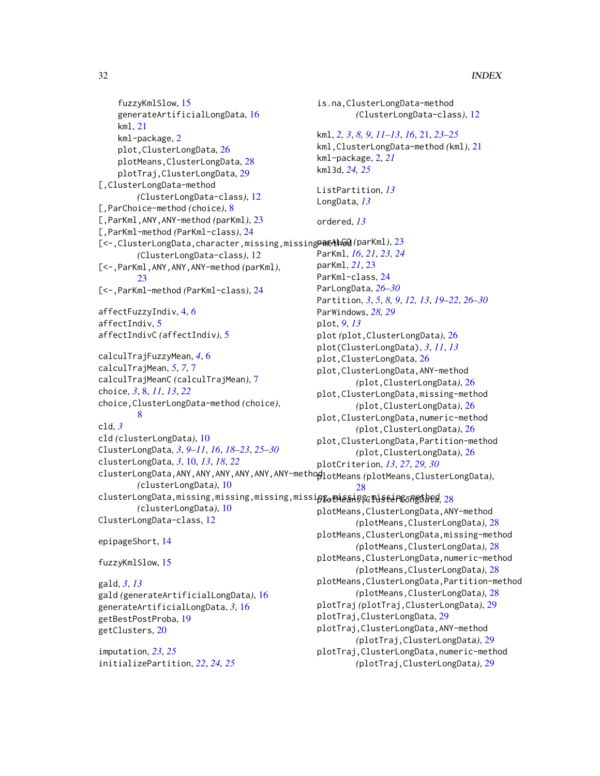```
fuzzyKmlSlow, 15
    generateArtificialLongData, 16
    kml, 21
    kml-package, 2
    plot,ClusterLongData, 26
    plotMeans,ClusterLongData, 28
    plotTraj,ClusterLongData, 29
[,ClusterLongData-method
        (ClusterLongData-class), 12
[,ParChoice-method (choice), 8
[,ParKml,ANY,ANY-method (parKml), 23
[,ParKml-method (ParKml-class), 24
23
        (ClusterLongData-class), 12
[<-,ParKml,ANY,ANY,ANY-method (parKml),
        23
[<-,ParKml-method (ParKml-class), 24
affectFuzzyIndiv, 4, 6
affectIndiv, 5
affectIndivC (affectIndiv), 5
calculTrajFuzzyMean, 4, 6
calculTrajMean, 5, 7, 7
calculTrajMeanC (calculTrajMean), 7
choice, 3, 8, 11, 13, 22
choice,ClusterLongData-method (choice),
        8
cld, 3
cld (clusterLongData), 10
ClusterLongData, 3, 9–11, 16, 18–23, 25–30
clusterLongData, 3, 10, 13, 18, 22
clusterLongData,ANY,ANY,ANY,ANY,ANY,ANY-method
plotMeans (plotMeans,ClusterLongData),
        (clusterLongData), 10
clusterLongData,missing,missing,missing,missipg_0mis\gammanis\epsilonango\betaangba\betaango\beta(clusterLongData), 10
ClusterLongData-class, 12
epipageShort, 14
fuzzyKmlSlow, 15
gald, 3, 13
gald (generateArtificialLongData), 16
generateArtificialLongData, 3, 16
getBestPostProba, 19
getClusters, 20
                                               kml3d, 24, 25
                                               LongData, 13
                                               ordered, 13
                                               parKml, 21, 23
                                               plot, 9, 13
                                                       28
```
imputation, *[23](#page-22-0)*, *[25](#page-24-0)* initializePartition, *[22](#page-21-0)*, *[24,](#page-23-0) [25](#page-24-0)*

is.na,ClusterLongData-method *(*ClusterLongData-class*)*, [12](#page-11-0) kml, *[2,](#page-1-0) [3](#page-2-0)*, *[8,](#page-7-0) [9](#page-8-0)*, *[11](#page-10-0)[–13](#page-12-0)*, *[16](#page-15-0)*, [21,](#page-20-0) *[23](#page-22-0)[–25](#page-24-0)* kml,ClusterLongData-method *(*kml*)*, [21](#page-20-0) kml-package, [2,](#page-1-0) *[21](#page-20-0)* ListPartition, *[13](#page-12-0)* ParKml, *[16](#page-15-0)*, *[21](#page-20-0)*, *[23,](#page-22-0) [24](#page-23-0)* ParKml-class, [24](#page-23-0) ParLongData, *[26](#page-25-0)[–30](#page-29-0)* Partition, *[3](#page-2-0)*, *[5](#page-4-0)*, *[8,](#page-7-0) [9](#page-8-0)*, *[12,](#page-11-0) [13](#page-12-0)*, *[19](#page-18-0)[–22](#page-21-0)*, *[26](#page-25-0)[–30](#page-29-0)* ParWindows, *[28,](#page-27-0) [29](#page-28-0)* plot *(*plot,ClusterLongData*)*, [26](#page-25-0) plot(ClusterLongData), *[3](#page-2-0)*, *[11](#page-10-0)*, *[13](#page-12-0)* plot,ClusterLongData, [26](#page-25-0) plot,ClusterLongData,ANY-method *(*plot,ClusterLongData*)*, [26](#page-25-0) plot,ClusterLongData,missing-method *(*plot,ClusterLongData*)*, [26](#page-25-0) plot,ClusterLongData,numeric-method *(*plot,ClusterLongData*)*, [26](#page-25-0) plot,ClusterLongData,Partition-method *(*plot,ClusterLongData*)*, [26](#page-25-0) plotCriterion, *[13](#page-12-0)*, *[27](#page-26-0)*, *[29,](#page-28-0) [30](#page-29-0)* plotMeans,ClusterLongData,ANY-method *(*plotMeans,ClusterLongData*)*, [28](#page-27-0) plotMeans,ClusterLongData,missing-method

*(*plotMeans,ClusterLongData*)*, [28](#page-27-0) plotMeans,ClusterLongData,numeric-method *(*plotMeans,ClusterLongData*)*, [28](#page-27-0)

```
plotMeans,ClusterLongData,Partition-method
        (plotMeans,ClusterLongData), 28
plotTraj (plotTraj,ClusterLongData), 29
```
plotTraj,ClusterLongData, [29](#page-28-0)

plotTraj,ClusterLongData,ANY-method *(*plotTraj,ClusterLongData*)*, [29](#page-28-0) plotTraj,ClusterLongData,numeric-method

```
(plotTraj,ClusterLongData), 29
```